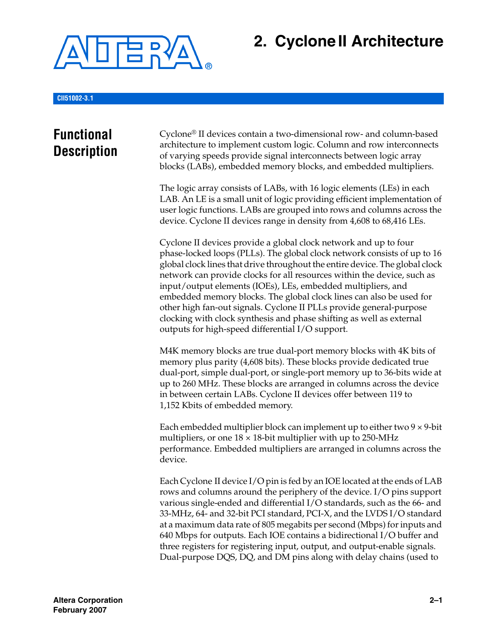

# **2. CycloneII Architecture**

**CII51002-3.1**

## **Functional Description**

Cyclone® II devices contain a two-dimensional row- and column-based architecture to implement custom logic. Column and row interconnects of varying speeds provide signal interconnects between logic array blocks (LABs), embedded memory blocks, and embedded multipliers.

The logic array consists of LABs, with 16 logic elements (LEs) in each LAB. An LE is a small unit of logic providing efficient implementation of user logic functions. LABs are grouped into rows and columns across the device. Cyclone II devices range in density from 4,608 to 68,416 LEs.

Cyclone II devices provide a global clock network and up to four phase-locked loops (PLLs). The global clock network consists of up to 16 global clock lines that drive throughout the entire device. The global clock network can provide clocks for all resources within the device, such as input/output elements (IOEs), LEs, embedded multipliers, and embedded memory blocks. The global clock lines can also be used for other high fan-out signals. Cyclone II PLLs provide general-purpose clocking with clock synthesis and phase shifting as well as external outputs for high-speed differential I/O support.

M4K memory blocks are true dual-port memory blocks with 4K bits of memory plus parity (4,608 bits). These blocks provide dedicated true dual-port, simple dual-port, or single-port memory up to 36-bits wide at up to 260 MHz. These blocks are arranged in columns across the device in between certain LABs. Cyclone II devices offer between 119 to 1,152 Kbits of embedded memory.

Each embedded multiplier block can implement up to either two  $9 \times 9$ -bit multipliers, or one  $18 \times 18$ -bit multiplier with up to 250-MHz performance. Embedded multipliers are arranged in columns across the device.

Each Cyclone II device I/O pin is fed by an IOE located at the ends of LAB rows and columns around the periphery of the device. I/O pins support various single-ended and differential I/O standards, such as the 66- and 33-MHz, 64- and 32-bit PCI standard, PCI-X, and the LVDS I/O standard at a maximum data rate of 805 megabits per second (Mbps) for inputs and 640 Mbps for outputs. Each IOE contains a bidirectional I/O buffer and three registers for registering input, output, and output-enable signals. Dual-purpose DQS, DQ, and DM pins along with delay chains (used to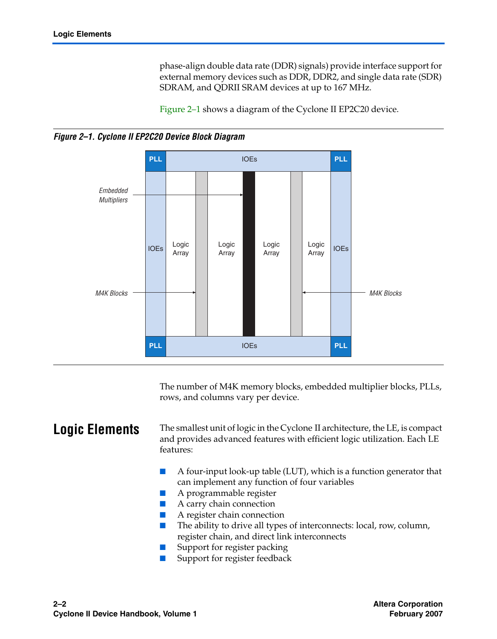phase-align double data rate (DDR) signals) provide interface support for external memory devices such as DDR, DDR2, and single data rate (SDR) SDRAM, and QDRII SRAM devices at up to 167 MHz.

[Figure 2–1](#page-1-0) shows a diagram of the Cyclone II EP2C20 device.

<span id="page-1-0"></span>



The number of M4K memory blocks, embedded multiplier blocks, PLLs, rows, and columns vary per device.

**Logic Elements** The smallest unit of logic in the Cyclone II architecture, the LE, is compact and provides advanced features with efficient logic utilization. Each LE features:

- A four-input look-up table (LUT), which is a function generator that can implement any function of four variables
- A programmable register
- A carry chain connection
- A register chain connection
- The ability to drive all types of interconnects: local, row, column, register chain, and direct link interconnects
- Support for register packing
- Support for register feedback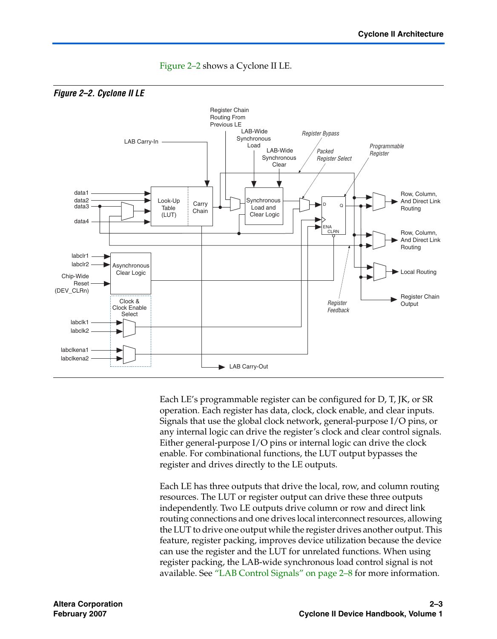<span id="page-2-0"></span>

[Figure 2–2](#page-2-0) shows a Cyclone II LE.

Each LE's programmable register can be configured for D, T, JK, or SR operation. Each register has data, clock, clock enable, and clear inputs. Signals that use the global clock network, general-purpose I/O pins, or any internal logic can drive the register's clock and clear control signals. Either general-purpose I/O pins or internal logic can drive the clock enable. For combinational functions, the LUT output bypasses the register and drives directly to the LE outputs.

Each LE has three outputs that drive the local, row, and column routing resources. The LUT or register output can drive these three outputs independently. Two LE outputs drive column or row and direct link routing connections and one drives local interconnect resources, allowing the LUT to drive one output while the register drives another output. This feature, register packing, improves device utilization because the device can use the register and the LUT for unrelated functions. When using register packing, the LAB-wide synchronous load control signal is not available. See ["LAB Control Signals" on page 2–8](#page-7-0) for more information.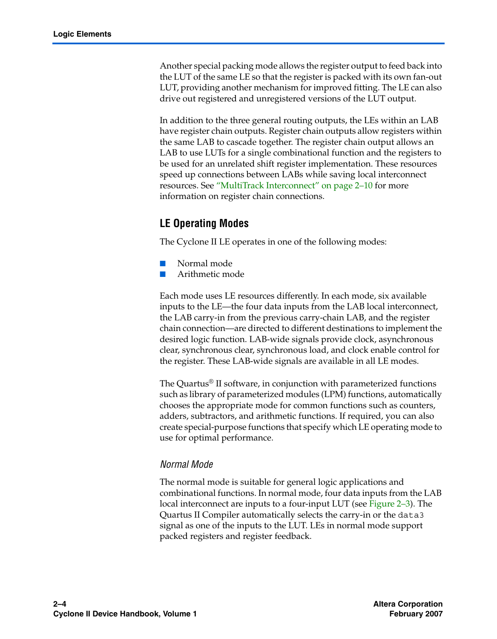Another special packing mode allows the register output to feed back into the LUT of the same LE so that the register is packed with its own fan-out LUT, providing another mechanism for improved fitting. The LE can also drive out registered and unregistered versions of the LUT output.

In addition to the three general routing outputs, the LEs within an LAB have register chain outputs. Register chain outputs allow registers within the same LAB to cascade together. The register chain output allows an LAB to use LUTs for a single combinational function and the registers to be used for an unrelated shift register implementation. These resources speed up connections between LABs while saving local interconnect resources. See ["MultiTrack Interconnect" on page 2–10](#page-9-0) for more information on register chain connections.

### **LE Operating Modes**

The Cyclone II LE operates in one of the following modes:

- Normal mode
- Arithmetic mode

Each mode uses LE resources differently. In each mode, six available inputs to the LE—the four data inputs from the LAB local interconnect, the LAB carry-in from the previous carry-chain LAB, and the register chain connection—are directed to different destinations to implement the desired logic function. LAB-wide signals provide clock, asynchronous clear, synchronous clear, synchronous load, and clock enable control for the register. These LAB-wide signals are available in all LE modes.

The Quartus® II software, in conjunction with parameterized functions such as library of parameterized modules (LPM) functions, automatically chooses the appropriate mode for common functions such as counters, adders, subtractors, and arithmetic functions. If required, you can also create special-purpose functions that specify which LE operating mode to use for optimal performance.

### *Normal Mode*

The normal mode is suitable for general logic applications and combinational functions. In normal mode, four data inputs from the LAB local interconnect are inputs to a four-input LUT (see [Figure 2–3\)](#page-4-0). The Quartus II Compiler automatically selects the carry-in or the data3 signal as one of the inputs to the LUT. LEs in normal mode support packed registers and register feedback.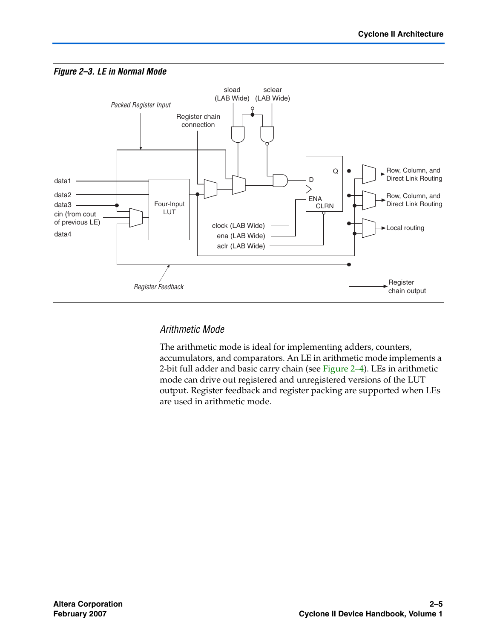<span id="page-4-0"></span>



### *Arithmetic Mode*

The arithmetic mode is ideal for implementing adders, counters, accumulators, and comparators. An LE in arithmetic mode implements a 2-bit full adder and basic carry chain (see [Figure 2–4](#page-5-0)). LEs in arithmetic mode can drive out registered and unregistered versions of the LUT output. Register feedback and register packing are supported when LEs are used in arithmetic mode.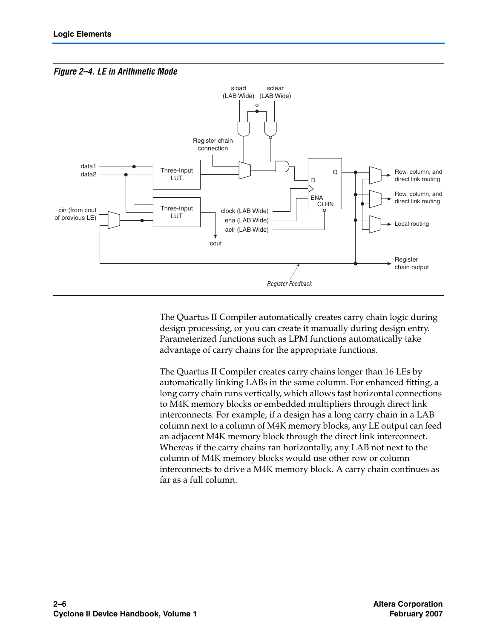<span id="page-5-0"></span>



The Quartus II Compiler automatically creates carry chain logic during design processing, or you can create it manually during design entry. Parameterized functions such as LPM functions automatically take advantage of carry chains for the appropriate functions.

The Quartus II Compiler creates carry chains longer than 16 LEs by automatically linking LABs in the same column. For enhanced fitting, a long carry chain runs vertically, which allows fast horizontal connections to M4K memory blocks or embedded multipliers through direct link interconnects. For example, if a design has a long carry chain in a LAB column next to a column of M4K memory blocks, any LE output can feed an adjacent M4K memory block through the direct link interconnect. Whereas if the carry chains ran horizontally, any LAB not next to the column of M4K memory blocks would use other row or column interconnects to drive a M4K memory block. A carry chain continues as far as a full column.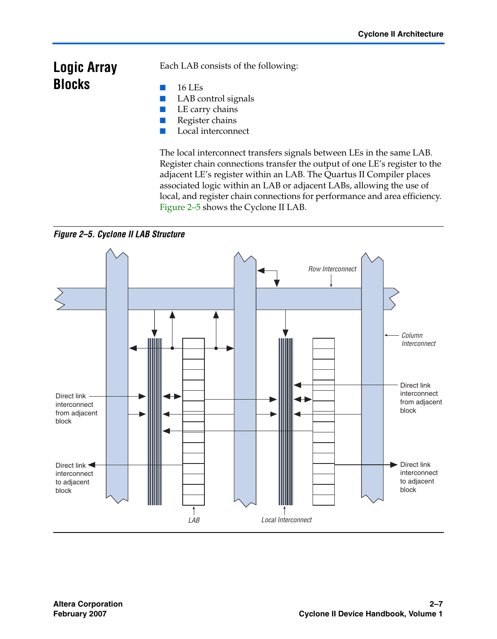## **Logic Array Blocks**

Each LAB consists of the following:

- 16 LEs
- LAB control signals
- LE carry chains
- Register chains
- Local interconnect

The local interconnect transfers signals between LEs in the same LAB. Register chain connections transfer the output of one LE's register to the adjacent LE's register within an LAB. The Quartus II Compiler places associated logic within an LAB or adjacent LABs, allowing the use of local, and register chain connections for performance and area efficiency. [Figure 2–5](#page-6-0) shows the Cyclone II LAB.

<span id="page-6-0"></span>*Figure 2–5. Cyclone II LAB Structure*

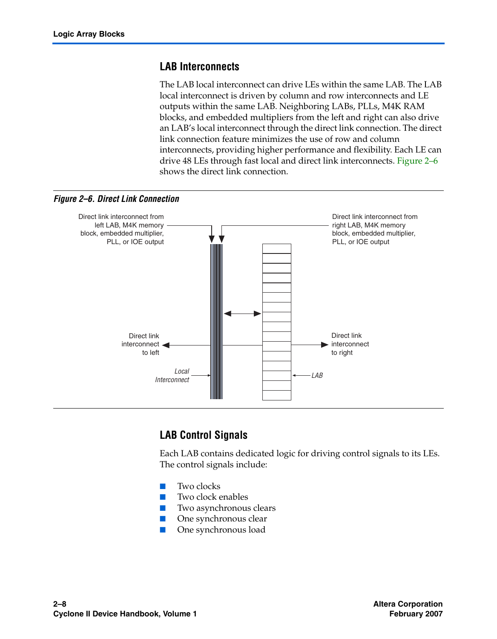### **LAB Interconnects**

The LAB local interconnect can drive LEs within the same LAB. The LAB local interconnect is driven by column and row interconnects and LE outputs within the same LAB. Neighboring LABs, PLLs, M4K RAM blocks, and embedded multipliers from the left and right can also drive an LAB's local interconnect through the direct link connection. The direct link connection feature minimizes the use of row and column interconnects, providing higher performance and flexibility. Each LE can drive 48 LEs through fast local and direct link interconnects. [Figure 2–6](#page-7-1) shows the direct link connection.

<span id="page-7-1"></span>

### <span id="page-7-0"></span>**LAB Control Signals**

Each LAB contains dedicated logic for driving control signals to its LEs. The control signals include:

- Two clocks
- Two clock enables
- Two asynchronous clears
- One synchronous clear
- One synchronous load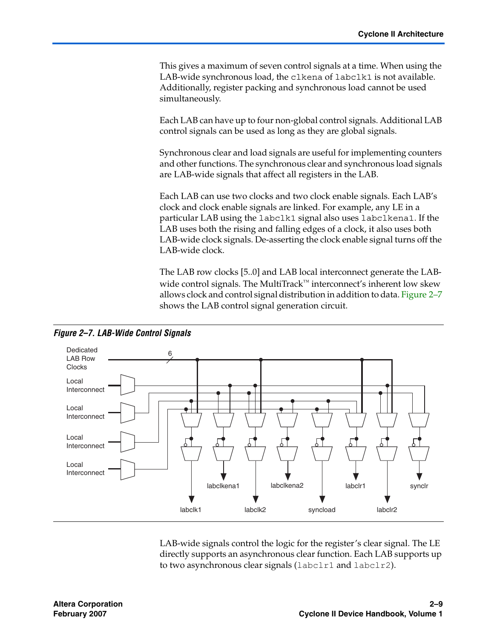This gives a maximum of seven control signals at a time. When using the LAB-wide synchronous load, the clkena of labclk1 is not available. Additionally, register packing and synchronous load cannot be used simultaneously.

Each LAB can have up to four non-global control signals. Additional LAB control signals can be used as long as they are global signals.

Synchronous clear and load signals are useful for implementing counters and other functions. The synchronous clear and synchronous load signals are LAB-wide signals that affect all registers in the LAB.

Each LAB can use two clocks and two clock enable signals. Each LAB's clock and clock enable signals are linked. For example, any LE in a particular LAB using the labclk1 signal also uses labclkena1. If the LAB uses both the rising and falling edges of a clock, it also uses both LAB-wide clock signals. De-asserting the clock enable signal turns off the LAB-wide clock.

The LAB row clocks [5..0] and LAB local interconnect generate the LABwide control signals. The MultiTrack™ interconnect's inherent low skew allows clock and control signal distribution in addition to data. [Figure 2–7](#page-8-0) shows the LAB control signal generation circuit.



LAB-wide signals control the logic for the register's clear signal. The LE directly supports an asynchronous clear function. Each LAB supports up to two asynchronous clear signals (labclr1 and labclr2).

<span id="page-8-0"></span>*Figure 2–7. LAB-Wide Control Signals*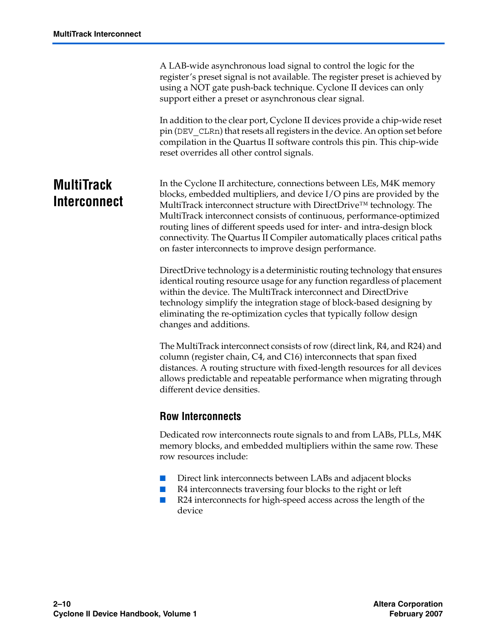A LAB-wide asynchronous load signal to control the logic for the register's preset signal is not available. The register preset is achieved by using a NOT gate push-back technique. Cyclone II devices can only support either a preset or asynchronous clear signal.

In addition to the clear port, Cyclone II devices provide a chip-wide reset pin (DEV\_CLRn) that resets all registers in the device. An option set before compilation in the Quartus II software controls this pin. This chip-wide reset overrides all other control signals.

## <span id="page-9-0"></span>**MultiTrack Interconnect**

In the Cyclone II architecture, connections between LEs, M4K memory blocks, embedded multipliers, and device I/O pins are provided by the MultiTrack interconnect structure with DirectDrive™ technology. The MultiTrack interconnect consists of continuous, performance-optimized routing lines of different speeds used for inter- and intra-design block connectivity. The Quartus II Compiler automatically places critical paths on faster interconnects to improve design performance.

DirectDrive technology is a deterministic routing technology that ensures identical routing resource usage for any function regardless of placement within the device. The MultiTrack interconnect and DirectDrive technology simplify the integration stage of block-based designing by eliminating the re-optimization cycles that typically follow design changes and additions.

The MultiTrack interconnect consists of row (direct link, R4, and R24) and column (register chain, C4, and C16) interconnects that span fixed distances. A routing structure with fixed-length resources for all devices allows predictable and repeatable performance when migrating through different device densities.

### **Row Interconnects**

Dedicated row interconnects route signals to and from LABs, PLLs, M4K memory blocks, and embedded multipliers within the same row. These row resources include:

- Direct link interconnects between LABs and adjacent blocks
- R4 interconnects traversing four blocks to the right or left
- R24 interconnects for high-speed access across the length of the device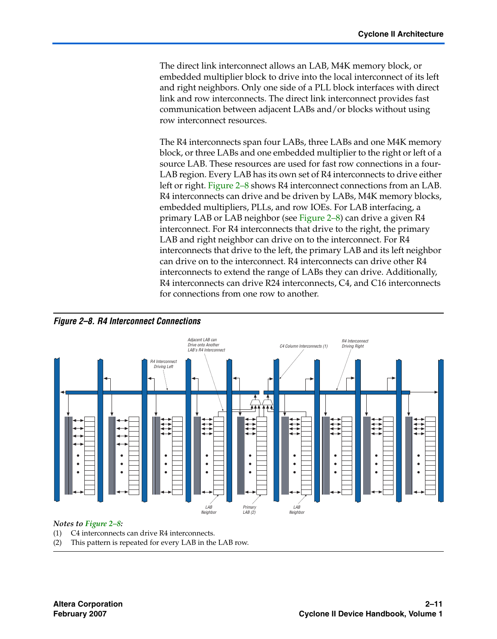The direct link interconnect allows an LAB, M4K memory block, or embedded multiplier block to drive into the local interconnect of its left and right neighbors. Only one side of a PLL block interfaces with direct link and row interconnects. The direct link interconnect provides fast communication between adjacent LABs and/or blocks without using row interconnect resources.

The R4 interconnects span four LABs, three LABs and one M4K memory block, or three LABs and one embedded multiplier to the right or left of a source LAB. These resources are used for fast row connections in a four-LAB region. Every LAB has its own set of R4 interconnects to drive either left or right. [Figure 2–8](#page-10-0) shows R4 interconnect connections from an LAB. R4 interconnects can drive and be driven by LABs, M4K memory blocks, embedded multipliers, PLLs, and row IOEs. For LAB interfacing, a primary LAB or LAB neighbor (see [Figure 2–8](#page-10-0)) can drive a given R4 interconnect. For R4 interconnects that drive to the right, the primary LAB and right neighbor can drive on to the interconnect. For R4 interconnects that drive to the left, the primary LAB and its left neighbor can drive on to the interconnect. R4 interconnects can drive other R4 interconnects to extend the range of LABs they can drive. Additionally, R4 interconnects can drive R24 interconnects, C4, and C16 interconnects for connections from one row to another.

<span id="page-10-0"></span>



#### *Notes to [Figure 2–8](#page-10-0):*

(1) C4 interconnects can drive R4 interconnects.

(2) This pattern is repeated for every LAB in the LAB row.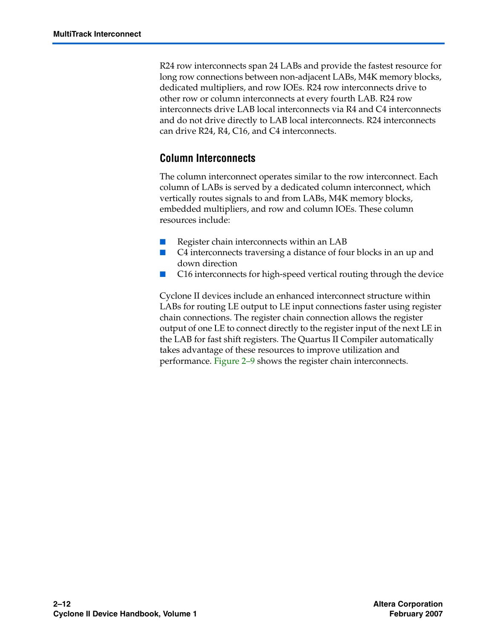R24 row interconnects span 24 LABs and provide the fastest resource for long row connections between non-adjacent LABs, M4K memory blocks, dedicated multipliers, and row IOEs. R24 row interconnects drive to other row or column interconnects at every fourth LAB. R24 row interconnects drive LAB local interconnects via R4 and C4 interconnects and do not drive directly to LAB local interconnects. R24 interconnects can drive R24, R4, C16, and C4 interconnects.

### **Column Interconnects**

The column interconnect operates similar to the row interconnect. Each column of LABs is served by a dedicated column interconnect, which vertically routes signals to and from LABs, M4K memory blocks, embedded multipliers, and row and column IOEs. These column resources include:

- Register chain interconnects within an LAB
- C4 interconnects traversing a distance of four blocks in an up and down direction
- C16 interconnects for high-speed vertical routing through the device

Cyclone II devices include an enhanced interconnect structure within LABs for routing LE output to LE input connections faster using register chain connections. The register chain connection allows the register output of one LE to connect directly to the register input of the next LE in the LAB for fast shift registers. The Quartus II Compiler automatically takes advantage of these resources to improve utilization and performance. [Figure 2–9](#page-12-0) shows the register chain interconnects.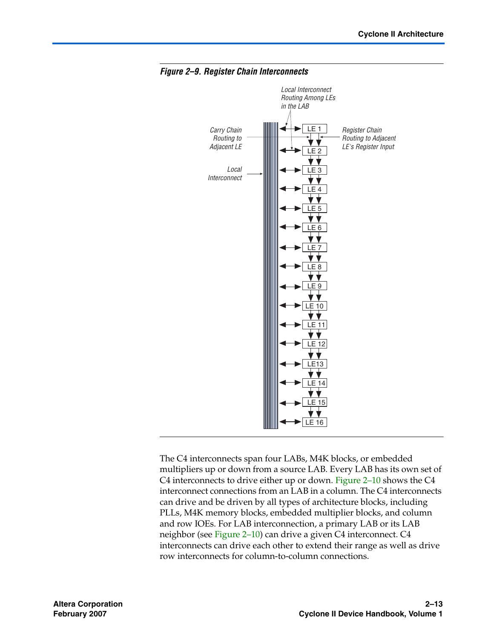

#### <span id="page-12-0"></span>*Figure 2–9. Register Chain Interconnects*

The C4 interconnects span four LABs, M4K blocks, or embedded multipliers up or down from a source LAB. Every LAB has its own set of C4 interconnects to drive either up or down. [Figure 2–10](#page-13-0) shows the C4 interconnect connections from an LAB in a column. The C4 interconnects can drive and be driven by all types of architecture blocks, including PLLs, M4K memory blocks, embedded multiplier blocks, and column and row IOEs. For LAB interconnection, a primary LAB or its LAB neighbor (see [Figure 2–10\)](#page-13-0) can drive a given C4 interconnect. C4 interconnects can drive each other to extend their range as well as drive row interconnects for column-to-column connections.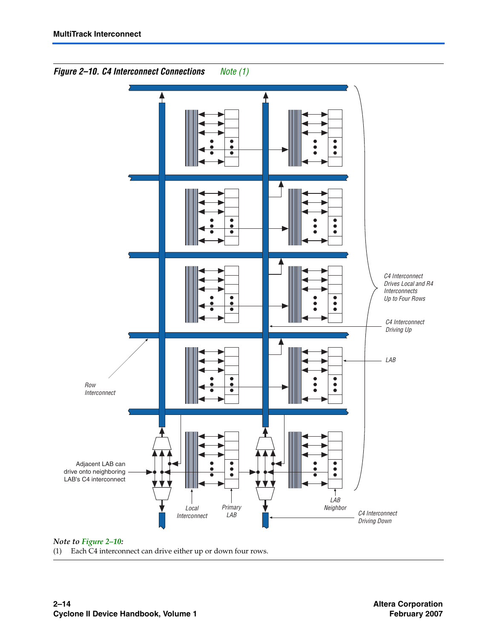

<span id="page-13-0"></span>*Figure 2–10. C4 Interconnect Connections [Note \(1\)](#page-13-1)*

*Note to [Figure 2–10:](#page-13-0)*

<span id="page-13-1"></span>(1) Each C4 interconnect can drive either up or down four rows.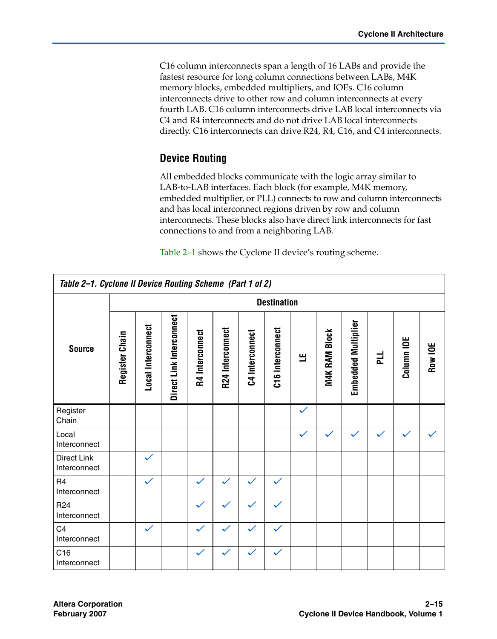C16 column interconnects span a length of 16 LABs and provide the fastest resource for long column connections between LABs, M4K memory blocks, embedded multipliers, and IOEs. C16 column interconnects drive to other row and column interconnects at every fourth LAB. C16 column interconnects drive LAB local interconnects via C4 and R4 interconnects and do not drive LAB local interconnects directly. C16 interconnects can drive R24, R4, C16, and C4 interconnects.

### **Device Routing**

All embedded blocks communicate with the logic array similar to LAB-to-LAB interfaces. Each block (for example, M4K memory, embedded multiplier, or PLL) connects to row and column interconnects and has local interconnect regions driven by row and column interconnects. These blocks also have direct link interconnects for fast connections to and from a neighboring LAB.

[Table 2–1](#page-14-0) shows the Cyclone II device's routing scheme.

<span id="page-14-0"></span>

| Table 2-1. Cyclone II Device Routing Scheme (Part 1 of 2) |                    |                           |                          |                 |                  |                 |                  |              |               |                            |   |              |         |
|-----------------------------------------------------------|--------------------|---------------------------|--------------------------|-----------------|------------------|-----------------|------------------|--------------|---------------|----------------------------|---|--------------|---------|
|                                                           | <b>Destination</b> |                           |                          |                 |                  |                 |                  |              |               |                            |   |              |         |
| <b>Source</b>                                             | Register Chain     | <b>Local Interconnect</b> | Direct Link Interconnect | R4 Interconnect | R24 Interconnect | C4 Interconnect | C16 Interconnect | 쁰            | M4K RAM Block | <b>Embedded Multiplier</b> | 빈 | Column IOE   | Row IOE |
| Register<br>Chain                                         |                    |                           |                          |                 |                  |                 |                  | $\checkmark$ |               |                            |   |              |         |
| Local<br>Interconnect                                     |                    |                           |                          |                 |                  |                 |                  | $\checkmark$ | $\checkmark$  | $\checkmark$               |   | $\checkmark$ |         |
| <b>Direct Link</b><br>Interconnect                        |                    | ✓                         |                          |                 |                  |                 |                  |              |               |                            |   |              |         |
| R <sub>4</sub><br>Interconnect                            |                    | $\checkmark$              |                          | $\checkmark$    | $\checkmark$     |                 | $\checkmark$     |              |               |                            |   |              |         |
| R <sub>24</sub><br>Interconnect                           |                    |                           |                          | $\checkmark$    | $\checkmark$     |                 |                  |              |               |                            |   |              |         |
| C <sub>4</sub><br>Interconnect                            |                    | $\checkmark$              |                          | $\checkmark$    | $\checkmark$     |                 | $\checkmark$     |              |               |                            |   |              |         |
| C16<br>Interconnect                                       |                    |                           |                          | $\checkmark$    |                  |                 | $\checkmark$     |              |               |                            |   |              |         |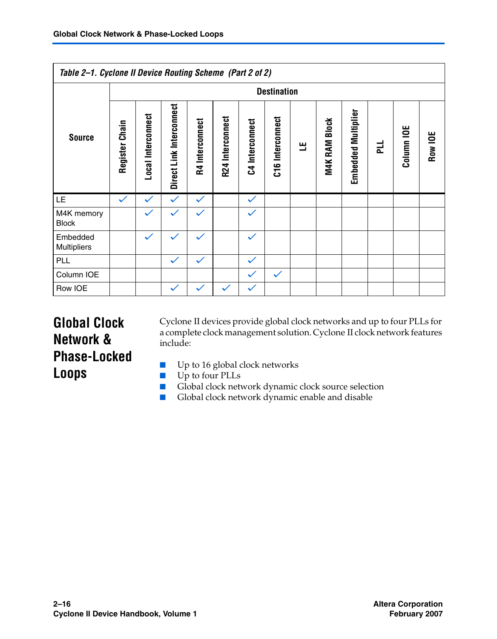|                            | Table 2-1. Cyclone II Device Routing Scheme (Part 2 of 2) |                    |                          |                 |                  |                 |                  |   |                      |                     |   |            |         |
|----------------------------|-----------------------------------------------------------|--------------------|--------------------------|-----------------|------------------|-----------------|------------------|---|----------------------|---------------------|---|------------|---------|
|                            |                                                           | <b>Destination</b> |                          |                 |                  |                 |                  |   |                      |                     |   |            |         |
| <b>Source</b>              | Register Chain                                            | Local Interconnect | Direct Link Interconnect | R4 Interconnect | R24 Interconnect | C4 Interconnect | C16 Interconnect | щ | <b>M4K RAM Block</b> | Embedded Multiplier | 긅 | Column IOE | Row IOE |
| LE.                        | $\checkmark$                                              | $\checkmark$       | $\checkmark$             | $\checkmark$    |                  | $\checkmark$    |                  |   |                      |                     |   |            |         |
| M4K memory<br><b>Block</b> |                                                           | $\checkmark$       | $\checkmark$             | $\checkmark$    |                  | $\checkmark$    |                  |   |                      |                     |   |            |         |
| Embedded<br>Multipliers    |                                                           | ✓                  |                          | $\checkmark$    |                  | $\checkmark$    |                  |   |                      |                     |   |            |         |
| PLL                        |                                                           |                    | $\checkmark$             | $\checkmark$    |                  | $\checkmark$    |                  |   |                      |                     |   |            |         |
| Column IOE                 |                                                           |                    |                          |                 |                  | $\checkmark$    | $\checkmark$     |   |                      |                     |   |            |         |
| Row IOE                    |                                                           |                    | $\checkmark$             | $\checkmark$    | $\checkmark$     | $\checkmark$    |                  |   |                      |                     |   |            |         |

## <span id="page-15-0"></span>**Global Clock Network & Phase-Locked Loops**

Cyclone II devices provide global clock networks and up to four PLLs for a complete clock management solution. Cyclone II clock network features include:

- Up to 16 global clock networks
- Up to four PLLs
- Global clock network dynamic clock source selection
- Global clock network dynamic enable and disable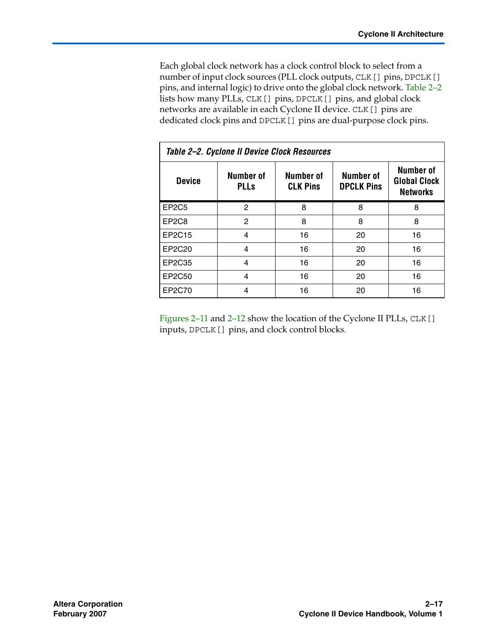Each global clock network has a clock control block to select from a number of input clock sources (PLL clock outputs, CLK[] pins, DPCLK[] pins, and internal logic) to drive onto the global clock network. [Table 2–2](#page-16-0) lists how many PLLs, CLK[] pins, DPCLK[] pins, and global clock networks are available in each Cyclone II device. CLK[] pins are dedicated clock pins and DPCLK[] pins are dual-purpose clock pins.

<span id="page-16-0"></span>

| Table 2-2. Cyclone II Device Clock Resources |                          |                              |                                |                                                     |  |  |
|----------------------------------------------|--------------------------|------------------------------|--------------------------------|-----------------------------------------------------|--|--|
| <b>Device</b>                                | Number of<br><b>PLLs</b> | Number of<br><b>CLK Pins</b> | Number of<br><b>DPCLK Pins</b> | Number of<br><b>Global Clock</b><br><b>Networks</b> |  |  |
| EP <sub>2</sub> C <sub>5</sub>               | 2                        | 8                            | 8                              | 8                                                   |  |  |
| EP <sub>2</sub> C <sub>8</sub>               | $\overline{2}$           | 8                            | 8                              | 8                                                   |  |  |
| EP2C15                                       | $\overline{4}$           | 16                           | 20                             | 16                                                  |  |  |
| EP2C20                                       | $\overline{4}$           | 16                           | 20                             | 16                                                  |  |  |
| EP2C35                                       | 4                        | 16                           | 20                             | 16                                                  |  |  |
| EP2C50                                       | 4                        | 16                           | 20                             | 16                                                  |  |  |
| EP2C70                                       | 4                        | 16                           | 20                             | 16                                                  |  |  |

[Figures 2–11](#page-17-0) and [2–12](#page-18-0) show the location of the Cyclone II PLLs, CLK[] inputs, DPCLK[] pins, and clock control blocks.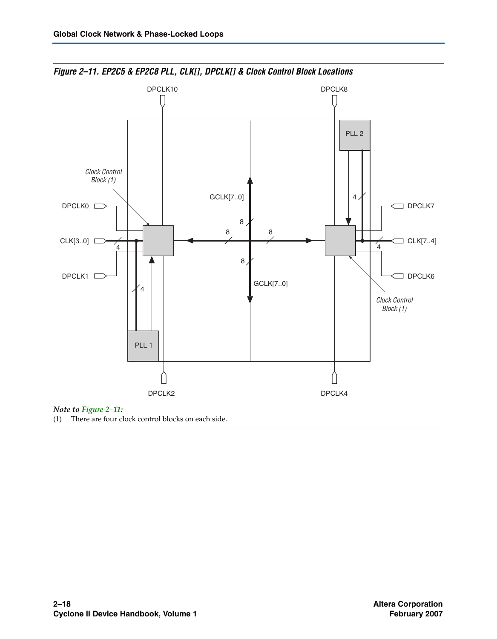

<span id="page-17-0"></span>*Figure 2–11. EP2C5 & EP2C8 PLL, CLK[], DPCLK[] & Clock Control Block Locations*

(1) There are four clock control blocks on each side.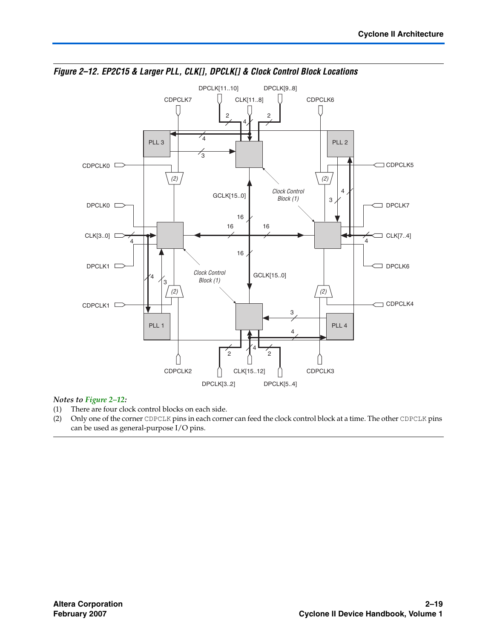

<span id="page-18-0"></span>*Figure 2–12. EP2C15 & Larger PLL, CLK[], DPCLK[] & Clock Control Block Locations*

#### *Notes to [Figure 2–12](#page-18-0):*

- (1) There are four clock control blocks on each side.<br>(2) Only one of the corner CDPCLK pins in each corne
- (2) Only one of the corner CDPCLK pins in each corner can feed the clock control block at a time. The other CDPCLK pins can be used as general-purpose I/O pins.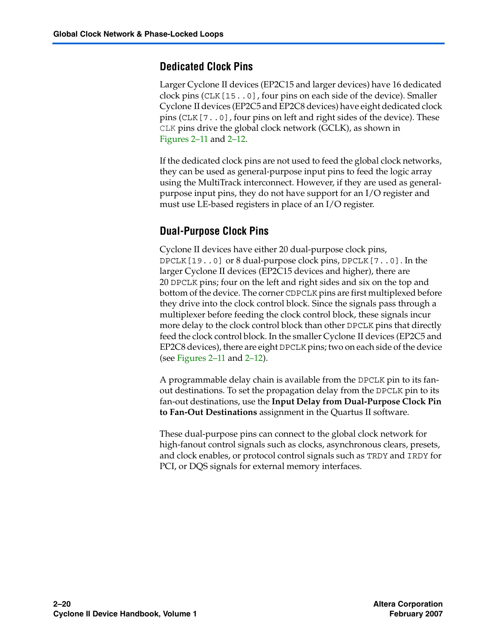### **Dedicated Clock Pins**

Larger Cyclone II devices (EP2C15 and larger devices) have 16 dedicated clock pins (CLK[15..0], four pins on each side of the device). Smaller Cyclone II devices (EP2C5 and EP2C8 devices) have eight dedicated clock pins (CLK[7..0], four pins on left and right sides of the device). These CLK pins drive the global clock network (GCLK), as shown in [Figures 2–11](#page-17-0) and [2–12.](#page-18-0)

If the dedicated clock pins are not used to feed the global clock networks, they can be used as general-purpose input pins to feed the logic array using the MultiTrack interconnect. However, if they are used as generalpurpose input pins, they do not have support for an I/O register and must use LE-based registers in place of an I/O register.

### **Dual-Purpose Clock Pins**

Cyclone II devices have either 20 dual-purpose clock pins, DPCLK[19..0] or 8 dual-purpose clock pins, DPCLK[7..0]. In the larger Cyclone II devices (EP2C15 devices and higher), there are 20 DPCLK pins; four on the left and right sides and six on the top and bottom of the device. The corner CDPCLK pins are first multiplexed before they drive into the clock control block. Since the signals pass through a multiplexer before feeding the clock control block, these signals incur more delay to the clock control block than other DPCLK pins that directly feed the clock control block. In the smaller Cyclone II devices (EP2C5 and EP2C8 devices), there are eight DPCLK pins; two on each side of the device (see [Figures 2–11](#page-17-0) and [2–12\)](#page-18-0).

A programmable delay chain is available from the DPCLK pin to its fanout destinations. To set the propagation delay from the DPCLK pin to its fan-out destinations, use the **Input Delay from Dual-Purpose Clock Pin to Fan-Out Destinations** assignment in the Quartus II software.

These dual-purpose pins can connect to the global clock network for high-fanout control signals such as clocks, asynchronous clears, presets, and clock enables, or protocol control signals such as TRDY and IRDY for PCI, or DQS signals for external memory interfaces.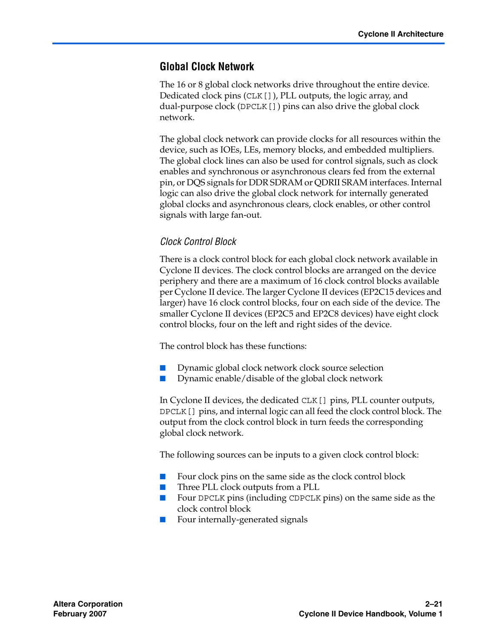### **Global Clock Network**

The 16 or 8 global clock networks drive throughout the entire device. Dedicated clock pins (CLK[]), PLL outputs, the logic array, and dual-purpose clock (DPCLK[]) pins can also drive the global clock network.

The global clock network can provide clocks for all resources within the device, such as IOEs, LEs, memory blocks, and embedded multipliers. The global clock lines can also be used for control signals, such as clock enables and synchronous or asynchronous clears fed from the external pin, or DQS signals for DDR SDRAM or QDRII SRAM interfaces. Internal logic can also drive the global clock network for internally generated global clocks and asynchronous clears, clock enables, or other control signals with large fan-out.

### *Clock Control Block*

There is a clock control block for each global clock network available in Cyclone II devices. The clock control blocks are arranged on the device periphery and there are a maximum of 16 clock control blocks available per Cyclone II device. The larger Cyclone II devices (EP2C15 devices and larger) have 16 clock control blocks, four on each side of the device. The smaller Cyclone II devices (EP2C5 and EP2C8 devices) have eight clock control blocks, four on the left and right sides of the device.

The control block has these functions:

- Dynamic global clock network clock source selection
- Dynamic enable/disable of the global clock network

In Cyclone II devices, the dedicated CLK[] pins, PLL counter outputs, DPCLK[] pins, and internal logic can all feed the clock control block. The output from the clock control block in turn feeds the corresponding global clock network.

The following sources can be inputs to a given clock control block:

- Four clock pins on the same side as the clock control block
- Three PLL clock outputs from a PLL
- Four DPCLK pins (including CDPCLK pins) on the same side as the clock control block
- Four internally-generated signals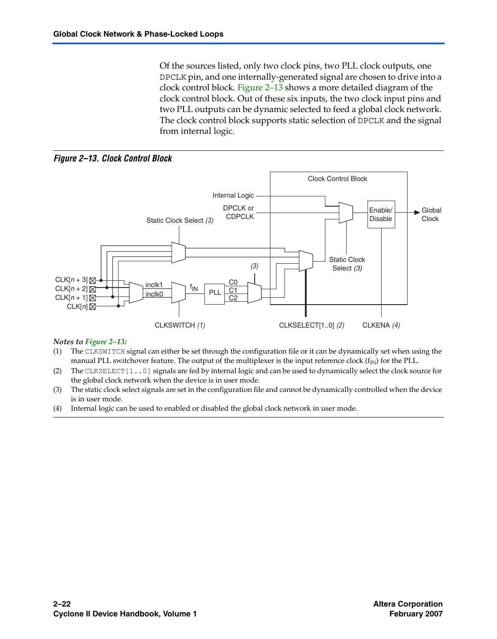Of the sources listed, only two clock pins, two PLL clock outputs, one DPCLK pin, and one internally-generated signal are chosen to drive into a clock control block. [Figure 2–13](#page-21-0) shows a more detailed diagram of the clock control block. Out of these six inputs, the two clock input pins and two PLL outputs can be dynamic selected to feed a global clock network. The clock control block supports static selection of DPCLK and the signal from internal logic.

<span id="page-21-0"></span>*Figure 2–13. Clock Control Block*



#### *Notes to [Figure 2–13](#page-21-0):*

- (1) The CLKSWITCH signal can either be set through the configuration file or it can be dynamically set when using the manual PLL switchover feature. The output of the multiplexer is the input reference clock  $(f_{IN})$  for the PLL.
- (2) The CLKSELECT[1..0] signals are fed by internal logic and can be used to dynamically select the clock source for the global clock network when the device is in user mode.
- (3) The static clock select signals are set in the configuration file and cannot be dynamically controlled when the device is in user mode.
- (4) Internal logic can be used to enabled or disabled the global clock network in user mode.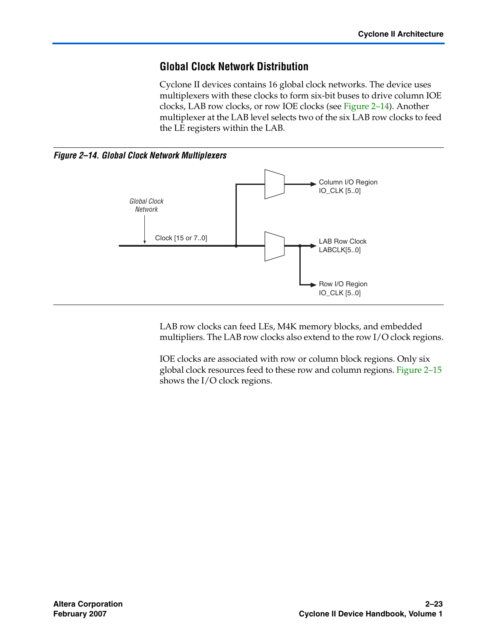### **Global Clock Network Distribution**

Cyclone II devices contains 16 global clock networks. The device uses multiplexers with these clocks to form six-bit buses to drive column IOE clocks, LAB row clocks, or row IOE clocks (see [Figure 2–14\)](#page-22-0). Another multiplexer at the LAB level selects two of the six LAB row clocks to feed the LE registers within the LAB.

<span id="page-22-0"></span>*Figure 2–14. Global Clock Network Multiplexers*



LAB row clocks can feed LEs, M4K memory blocks, and embedded multipliers. The LAB row clocks also extend to the row I/O clock regions.

IOE clocks are associated with row or column block regions. Only six global clock resources feed to these row and column regions. [Figure 2–15](#page-23-0) shows the I/O clock regions.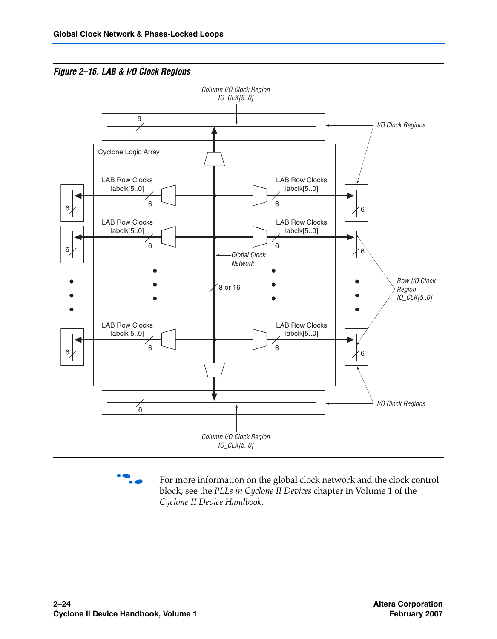<span id="page-23-0"></span>



For more information on the global clock network and the clock control block, see the *PLLs in Cyclone II Devices* chapter in Volume 1 of the *Cyclone II Device Handbook*.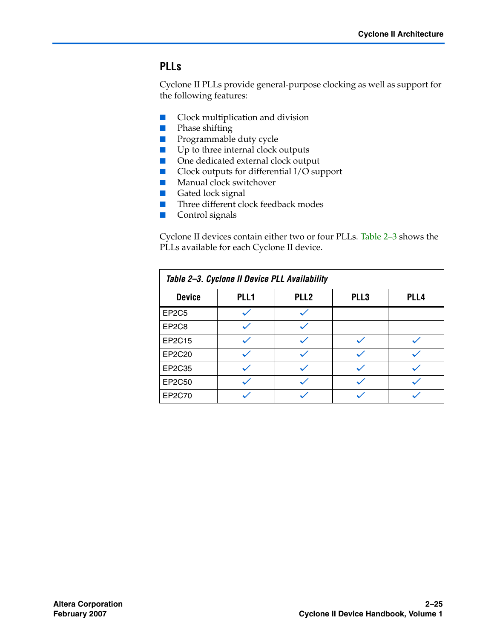### **PLLs**

Cyclone II PLLs provide general-purpose clocking as well as support for the following features:

- Clock multiplication and division
- Phase shifting
- Programmable duty cycle
- Up to three internal clock outputs
- One dedicated external clock output
- Clock outputs for differential I/O support
- Manual clock switchover
- Gated lock signal
- Three different clock feedback modes
- Control signals

Cyclone II devices contain either two or four PLLs. [Table 2–3](#page-24-0) shows the PLLs available for each Cyclone II device.

<span id="page-24-0"></span>

| Table 2-3. Cyclone II Device PLL Availability |      |                  |      |      |
|-----------------------------------------------|------|------------------|------|------|
| <b>Device</b>                                 | PLL1 | PLL <sub>2</sub> | PLL3 | PLL4 |
| EP <sub>2</sub> C <sub>5</sub>                |      |                  |      |      |
| EP <sub>2</sub> C <sub>8</sub>                |      |                  |      |      |
| EP2C15                                        |      |                  |      |      |
| EP2C20                                        |      |                  |      |      |
| EP2C35                                        |      |                  |      |      |
| EP2C50                                        |      |                  |      |      |
| EP2C70                                        |      |                  |      |      |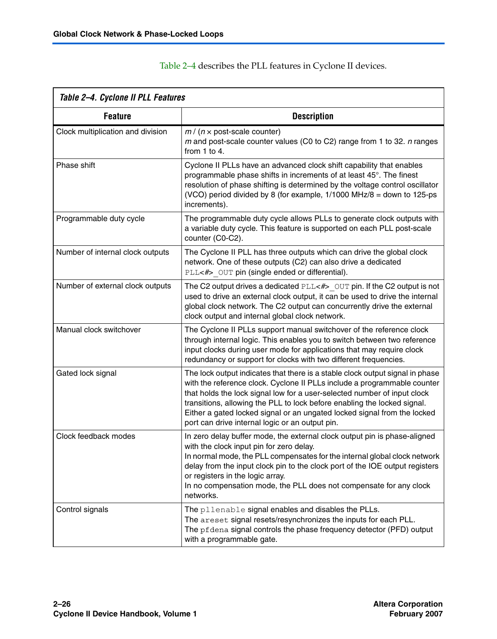<span id="page-25-0"></span>

| Table 2-4. Cyclone II PLL Features |                                                                                                                                                                                                                                                                                                                                                                                                                                                  |  |  |  |
|------------------------------------|--------------------------------------------------------------------------------------------------------------------------------------------------------------------------------------------------------------------------------------------------------------------------------------------------------------------------------------------------------------------------------------------------------------------------------------------------|--|--|--|
| <b>Feature</b>                     | <b>Description</b>                                                                                                                                                                                                                                                                                                                                                                                                                               |  |  |  |
| Clock multiplication and division  | $m / (n \times$ post-scale counter)<br>$m$ and post-scale counter values (C0 to C2) range from 1 to 32. $n$ ranges<br>from $1$ to $4$ .                                                                                                                                                                                                                                                                                                          |  |  |  |
| Phase shift                        | Cyclone II PLLs have an advanced clock shift capability that enables<br>programmable phase shifts in increments of at least 45°. The finest<br>resolution of phase shifting is determined by the voltage control oscillator<br>(VCO) period divided by 8 (for example, 1/1000 MHz/8 = down to 125-ps<br>increments).                                                                                                                             |  |  |  |
| Programmable duty cycle            | The programmable duty cycle allows PLLs to generate clock outputs with<br>a variable duty cycle. This feature is supported on each PLL post-scale<br>counter (C0-C2).                                                                                                                                                                                                                                                                            |  |  |  |
| Number of internal clock outputs   | The Cyclone II PLL has three outputs which can drive the global clock<br>network. One of these outputs (C2) can also drive a dedicated<br>PLL<#> OUT pin (single ended or differential).                                                                                                                                                                                                                                                         |  |  |  |
| Number of external clock outputs   | The C2 output drives a dedicated $PLL < \#$ > $OUT$ pin. If the C2 output is not<br>used to drive an external clock output, it can be used to drive the internal<br>global clock network. The C2 output can concurrently drive the external<br>clock output and internal global clock network.                                                                                                                                                   |  |  |  |
| Manual clock switchover            | The Cyclone II PLLs support manual switchover of the reference clock<br>through internal logic. This enables you to switch between two reference<br>input clocks during user mode for applications that may require clock<br>redundancy or support for clocks with two different frequencies.                                                                                                                                                    |  |  |  |
| Gated lock signal                  | The lock output indicates that there is a stable clock output signal in phase<br>with the reference clock. Cyclone II PLLs include a programmable counter<br>that holds the lock signal low for a user-selected number of input clock<br>transitions, allowing the PLL to lock before enabling the locked signal.<br>Either a gated locked signal or an ungated locked signal from the locked<br>port can drive internal logic or an output pin. |  |  |  |
| Clock feedback modes               | In zero delay buffer mode, the external clock output pin is phase-aligned<br>with the clock input pin for zero delay.<br>In normal mode, the PLL compensates for the internal global clock network<br>delay from the input clock pin to the clock port of the IOE output registers<br>or registers in the logic array.<br>In no compensation mode, the PLL does not compensate for any clock<br>networks.                                        |  |  |  |
| Control signals                    | The pllenable signal enables and disables the PLLs.<br>The areset signal resets/resynchronizes the inputs for each PLL.<br>The pfdena signal controls the phase frequency detector (PFD) output<br>with a programmable gate.                                                                                                                                                                                                                     |  |  |  |

[Table 2–4](#page-25-0) describes the PLL features in Cyclone II devices.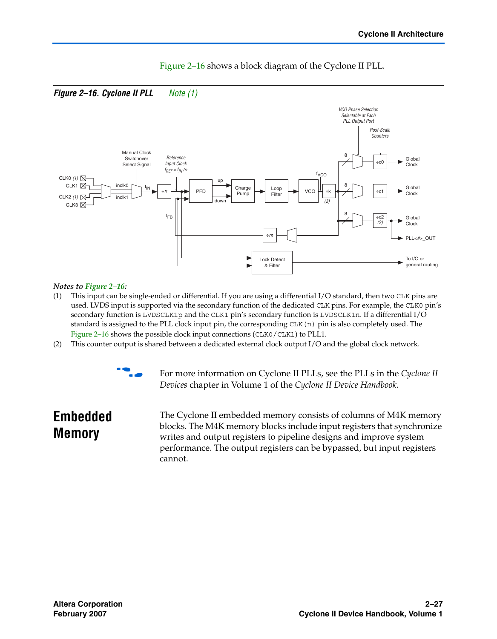<span id="page-26-0"></span>

### [Figure 2–16](#page-26-0) shows a block diagram of the Cyclone II PLL.

#### *Notes to [Figure 2–16](#page-26-0):*

- <span id="page-26-1"></span>(1) This input can be single-ended or differential. If you are using a differential I/O standard, then two CLK pins are used. LVDS input is supported via the secondary function of the dedicated CLK pins. For example, the CLK0 pin's secondary function is LVDSCLK1p and the CLK1 pin's secondary function is LVDSCLK1n. If a differential I/O standard is assigned to the PLL clock input pin, the corresponding CLK(n) pin is also completely used. The [Figure 2–16](#page-26-0) shows the possible clock input connections (CLK0/CLK1) to PLL1.
- (2) This counter output is shared between a dedicated external clock output I/O and the global clock network.



For more information on Cyclone II PLLs, see the PLLs in the *Cyclone II Devices* chapter in Volume 1 of the *Cyclone II Device Handbook*.

## **Embedded Memory**

The Cyclone II embedded memory consists of columns of M4K memory blocks. The M4K memory blocks include input registers that synchronize writes and output registers to pipeline designs and improve system performance. The output registers can be bypassed, but input registers cannot.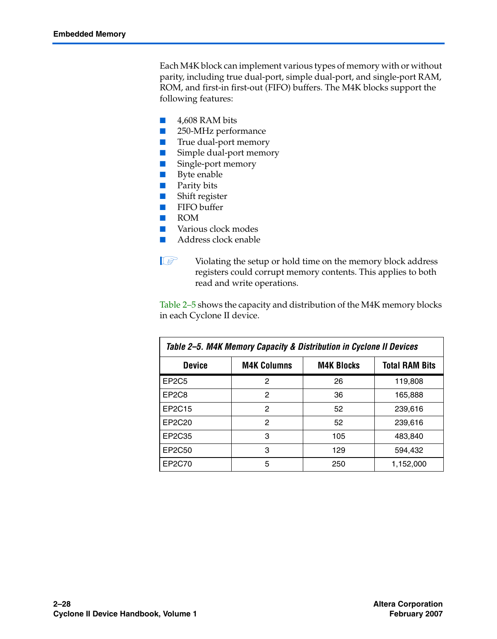Each M4K block can implement various types of memory with or without parity, including true dual-port, simple dual-port, and single-port RAM, ROM, and first-in first-out (FIFO) buffers. The M4K blocks support the following features:

- 4,608 RAM bits
- 250-MHz performance
- True dual-port memory
- Simple dual-port memory
- Single-port memory
- Byte enable
- Parity bits
- Shift register
- FIFO buffer
- ROM
- Various clock modes
- Address clock enable

Violating the setup or hold time on the memory block address registers could corrupt memory contents. This applies to both read and write operations.

[Table 2–5](#page-27-0) shows the capacity and distribution of the M4K memory blocks in each Cyclone II device.

<span id="page-27-0"></span>

| Table 2–5. M4K Memory Capacity & Distribution in Cyclone II Devices |                    |                   |                       |  |  |
|---------------------------------------------------------------------|--------------------|-------------------|-----------------------|--|--|
| <b>Device</b>                                                       | <b>M4K Columns</b> | <b>M4K Blocks</b> | <b>Total RAM Bits</b> |  |  |
| EP <sub>2</sub> C <sub>5</sub>                                      | 2                  | 26                | 119,808               |  |  |
| EP <sub>2</sub> C <sub>8</sub>                                      | 2                  | 36                | 165,888               |  |  |
| EP2C15                                                              | 2                  | 52                | 239.616               |  |  |
| EP2C20                                                              | 2                  | 52                | 239.616               |  |  |
| EP2C35                                                              | 3                  | 105               | 483,840               |  |  |
| EP2C50                                                              | 3                  | 129               | 594.432               |  |  |
| EP2C70                                                              | 5                  | 250               | 1,152,000             |  |  |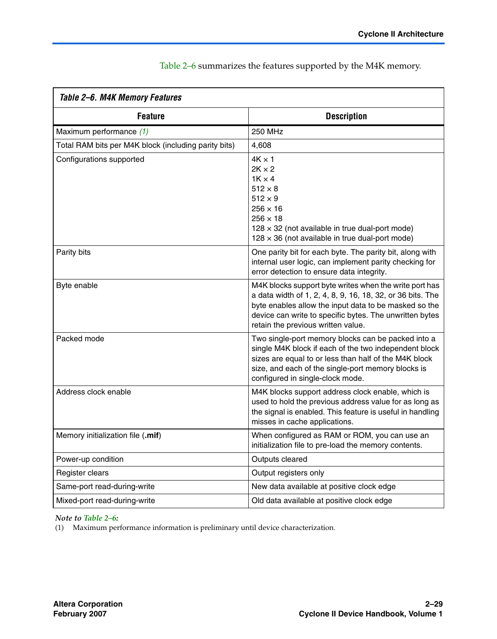<span id="page-28-0"></span>

| Table 2-6. M4K Memory Features                       |                                                                                                                                                                                                                                                                                |  |  |  |
|------------------------------------------------------|--------------------------------------------------------------------------------------------------------------------------------------------------------------------------------------------------------------------------------------------------------------------------------|--|--|--|
| <b>Feature</b>                                       | <b>Description</b>                                                                                                                                                                                                                                                             |  |  |  |
| Maximum performance (1)                              | 250 MHz                                                                                                                                                                                                                                                                        |  |  |  |
| Total RAM bits per M4K block (including parity bits) | 4,608                                                                                                                                                                                                                                                                          |  |  |  |
| Configurations supported                             | $4K \times 1$<br>$2K \times 2$<br>$1K \times 4$<br>$512 \times 8$<br>$512 \times 9$<br>$256 \times 16$<br>$256 \times 18$<br>$128 \times 32$ (not available in true dual-port mode)<br>$128 \times 36$ (not available in true dual-port mode)                                  |  |  |  |
| Parity bits                                          | One parity bit for each byte. The parity bit, along with<br>internal user logic, can implement parity checking for<br>error detection to ensure data integrity.                                                                                                                |  |  |  |
| Byte enable                                          | M4K blocks support byte writes when the write port has<br>a data width of 1, 2, 4, 8, 9, 16, 18, 32, or 36 bits. The<br>byte enables allow the input data to be masked so the<br>device can write to specific bytes. The unwritten bytes<br>retain the previous written value. |  |  |  |
| Packed mode                                          | Two single-port memory blocks can be packed into a<br>single M4K block if each of the two independent block<br>sizes are equal to or less than half of the M4K block<br>size, and each of the single-port memory blocks is<br>configured in single-clock mode.                 |  |  |  |
| Address clock enable                                 | M4K blocks support address clock enable, which is<br>used to hold the previous address value for as long as<br>the signal is enabled. This feature is useful in handling<br>misses in cache applications.                                                                      |  |  |  |
| Memory initialization file (.mif)                    | When configured as RAM or ROM, you can use an<br>initialization file to pre-load the memory contents.                                                                                                                                                                          |  |  |  |
| Power-up condition                                   | Outputs cleared                                                                                                                                                                                                                                                                |  |  |  |
| Register clears                                      | Output registers only                                                                                                                                                                                                                                                          |  |  |  |
| Same-port read-during-write                          | New data available at positive clock edge                                                                                                                                                                                                                                      |  |  |  |
| Mixed-port read-during-write                         | Old data available at positive clock edge                                                                                                                                                                                                                                      |  |  |  |

[Table 2–6](#page-28-0) summarizes the features supported by the M4K memory.

*Note to [Table 2–6:](#page-28-0)*

<span id="page-28-1"></span>(1) Maximum performance information is preliminary until device characterization.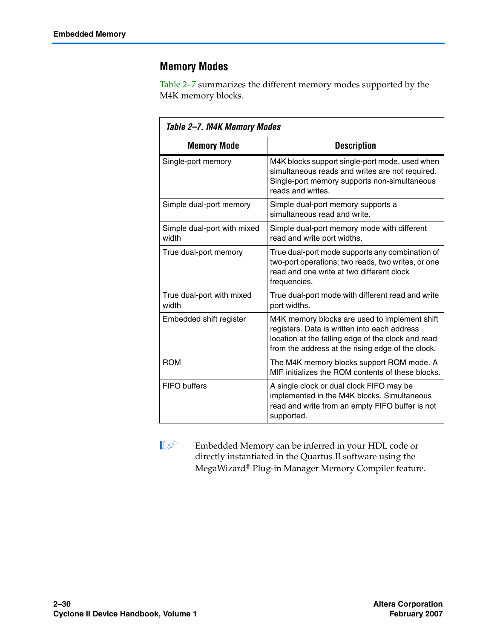### **Memory Modes**

[Table 2–7](#page-29-0) summarizes the different memory modes supported by the M4K memory blocks.

<span id="page-29-0"></span>

| Table 2–7. M4K Memory Modes          |                                                                                                                                                                                                          |  |  |  |
|--------------------------------------|----------------------------------------------------------------------------------------------------------------------------------------------------------------------------------------------------------|--|--|--|
| <b>Memory Mode</b>                   | <b>Description</b>                                                                                                                                                                                       |  |  |  |
| Single-port memory                   | M4K blocks support single-port mode, used when<br>simultaneous reads and writes are not required.<br>Single-port memory supports non-simultaneous<br>reads and writes.                                   |  |  |  |
| Simple dual-port memory              | Simple dual-port memory supports a<br>simultaneous read and write.                                                                                                                                       |  |  |  |
| Simple dual-port with mixed<br>width | Simple dual-port memory mode with different<br>read and write port widths.                                                                                                                               |  |  |  |
| True dual-port memory                | True dual-port mode supports any combination of<br>two-port operations: two reads, two writes, or one<br>read and one write at two different clock<br>frequencies.                                       |  |  |  |
| True dual-port with mixed<br>width   | True dual-port mode with different read and write<br>port widths.                                                                                                                                        |  |  |  |
| Embedded shift register              | M4K memory blocks are used to implement shift<br>registers. Data is written into each address<br>location at the falling edge of the clock and read<br>from the address at the rising edge of the clock. |  |  |  |
| <b>ROM</b>                           | The M4K memory blocks support ROM mode. A<br>MIF initializes the ROM contents of these blocks.                                                                                                           |  |  |  |
| FIFO buffers                         | A single clock or dual clock FIFO may be<br>implemented in the M4K blocks. Simultaneous<br>read and write from an empty FIFO buffer is not<br>supported.                                                 |  |  |  |

**1** Embedded Memory can be inferred in your HDL code or directly instantiated in the Quartus II software using the MegaWizard® Plug-in Manager Memory Compiler feature.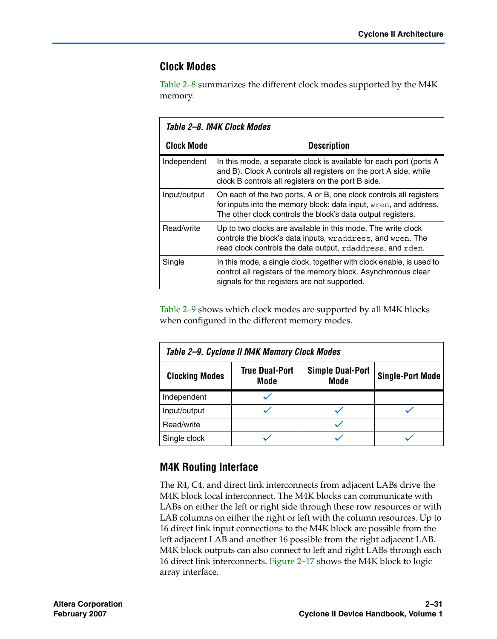### **Clock Modes**

[Table 2–8](#page-30-0) summarizes the different clock modes supported by the M4K memory.

<span id="page-30-0"></span>

| Table 2–8. M4K Clock Modes |                                                                                                                                                                                                       |  |  |
|----------------------------|-------------------------------------------------------------------------------------------------------------------------------------------------------------------------------------------------------|--|--|
| <b>Clock Mode</b>          | <b>Description</b>                                                                                                                                                                                    |  |  |
| Independent                | In this mode, a separate clock is available for each port (ports A<br>and B). Clock A controls all registers on the port A side, while<br>clock B controls all registers on the port B side.          |  |  |
| Input/output               | On each of the two ports, A or B, one clock controls all registers<br>for inputs into the memory block: data input, wren, and address.<br>The other clock controls the block's data output registers. |  |  |
| Read/write                 | Up to two clocks are available in this mode. The write clock<br>controls the block's data inputs, wraddress, and wren. The<br>read clock controls the data output, rdaddress, and rden.               |  |  |
| Single                     | In this mode, a single clock, together with clock enable, is used to<br>control all registers of the memory block. Asynchronous clear<br>signals for the registers are not supported.                 |  |  |

[Table 2–9](#page-30-1) shows which clock modes are supported by all M4K blocks when configured in the different memory modes.

<span id="page-30-1"></span>

| Table 2-9. Cyclone II M4K Memory Clock Modes |                               |                                 |                         |  |  |
|----------------------------------------------|-------------------------------|---------------------------------|-------------------------|--|--|
| <b>Clocking Modes</b>                        | <b>True Dual-Port</b><br>Mode | <b>Simple Dual-Port</b><br>Mode | <b>Single-Port Mode</b> |  |  |
| Independent                                  |                               |                                 |                         |  |  |
| Input/output                                 |                               |                                 |                         |  |  |
| Read/write                                   |                               |                                 |                         |  |  |
| Single clock                                 |                               |                                 |                         |  |  |

### **M4K Routing Interface**

The R4, C4, and direct link interconnects from adjacent LABs drive the M4K block local interconnect. The M4K blocks can communicate with LABs on either the left or right side through these row resources or with LAB columns on either the right or left with the column resources. Up to 16 direct link input connections to the M4K block are possible from the left adjacent LAB and another 16 possible from the right adjacent LAB. M4K block outputs can also connect to left and right LABs through each 16 direct link interconnects. [Figure 2–17](#page-31-0) shows the M4K block to logic array interface.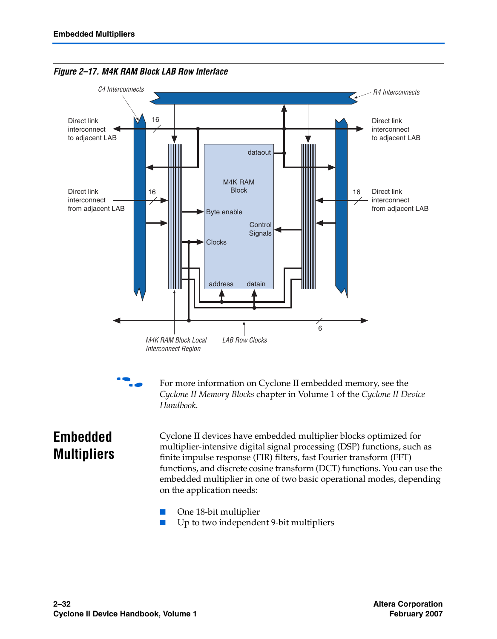

<span id="page-31-0"></span>*Figure 2–17. M4K RAM Block LAB Row Interface*



For more information on Cyclone II embedded memory, see the *Cyclone II Memory Blocks* chapter in Volume 1 of the *Cyclone II Device Handbook*.

## **Embedded Multipliers**

Cyclone II devices have embedded multiplier blocks optimized for multiplier-intensive digital signal processing (DSP) functions, such as finite impulse response (FIR) filters, fast Fourier transform (FFT) functions, and discrete cosine transform (DCT) functions. You can use the embedded multiplier in one of two basic operational modes, depending on the application needs:

- One 18-bit multiplier
- Up to two independent 9-bit multipliers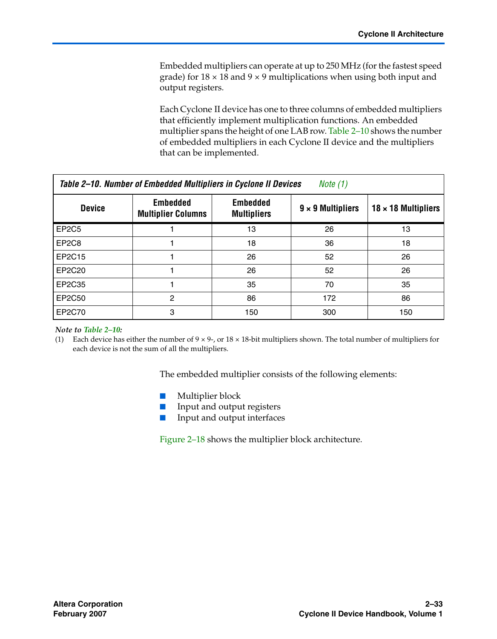Embedded multipliers can operate at up to 250 MHz (for the fastest speed grade) for  $18 \times 18$  and  $9 \times 9$  multiplications when using both input and output registers.

Each Cyclone II device has one to three columns of embedded multipliers that efficiently implement multiplication functions. An embedded multiplier spans the height of one LAB row. [Table 2–10](#page-32-0) shows the number of embedded multipliers in each Cyclone II device and the multipliers that can be implemented.

<span id="page-32-0"></span>

| Table 2–10. Number of Embedded Multipliers in Cyclone II Devices<br>Note (1) |                                              |                                       |                          |                            |  |
|------------------------------------------------------------------------------|----------------------------------------------|---------------------------------------|--------------------------|----------------------------|--|
| <b>Device</b>                                                                | <b>Embedded</b><br><b>Multiplier Columns</b> | <b>Embedded</b><br><b>Multipliers</b> | $9 \times 9$ Multipliers | $18 \times 18$ Multipliers |  |
| EP <sub>2</sub> C <sub>5</sub>                                               |                                              | 13                                    | 26                       | 13                         |  |
| EP <sub>2</sub> C <sub>8</sub>                                               |                                              | 18                                    | 36                       | 18                         |  |
| EP2C15                                                                       |                                              | 26                                    | 52                       | 26                         |  |
| EP2C20                                                                       |                                              | 26                                    | 52                       | 26                         |  |
| EP2C35                                                                       |                                              | 35                                    | 70                       | 35                         |  |
| EP2C50                                                                       | 2                                            | 86                                    | 172                      | 86                         |  |
| EP2C70                                                                       | 3                                            | 150                                   | 300                      | 150                        |  |

#### *Note to [Table 2–10:](#page-32-0)*

<span id="page-32-1"></span>(1) Each device has either the number of  $9 \times 9$ -, or  $18 \times 18$ -bit multipliers shown. The total number of multipliers for each device is not the sum of all the multipliers.

The embedded multiplier consists of the following elements:

- Multiplier block
- Input and output registers
- Input and output interfaces

[Figure 2–18](#page-33-0) shows the multiplier block architecture.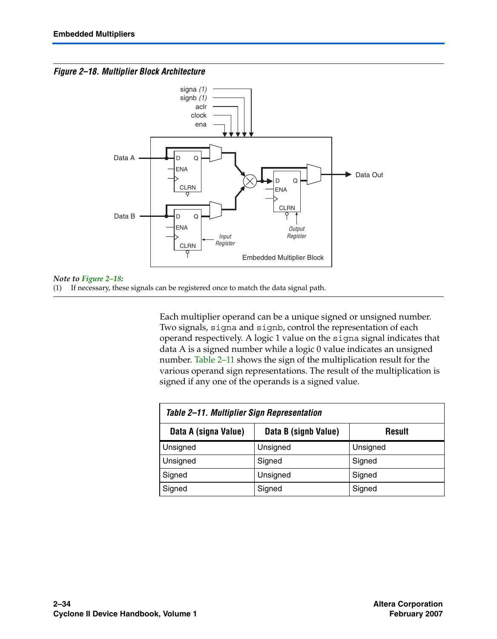#### <span id="page-33-0"></span>*Figure 2–18. Multiplier Block Architecture*



#### *Note to [Figure 2–18:](#page-33-0)*

(1) If necessary, these signals can be registered once to match the data signal path.

Each multiplier operand can be a unique signed or unsigned number. Two signals, signa and signb, control the representation of each operand respectively. A logic 1 value on the signa signal indicates that data A is a signed number while a logic 0 value indicates an unsigned number. [Table 2–11](#page-33-1) shows the sign of the multiplication result for the various operand sign representations. The result of the multiplication is signed if any one of the operands is a signed value.

<span id="page-33-1"></span>

| Table 2–11. Multiplier Sign Representation |                      |          |  |  |  |
|--------------------------------------------|----------------------|----------|--|--|--|
| Data A (signa Value)                       | Data B (signb Value) | Result   |  |  |  |
| Unsigned                                   | Unsigned             | Unsigned |  |  |  |
| Unsigned                                   | Signed               | Signed   |  |  |  |
| Signed                                     | Unsigned             | Signed   |  |  |  |
| Signed                                     | Signed               | Signed   |  |  |  |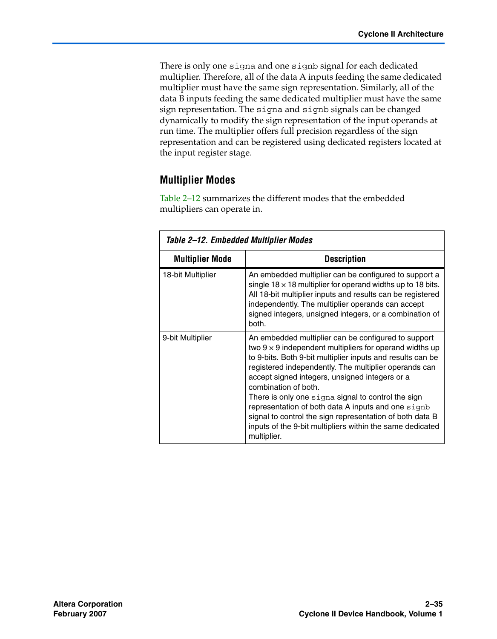There is only one signa and one signb signal for each dedicated multiplier. Therefore, all of the data A inputs feeding the same dedicated multiplier must have the same sign representation. Similarly, all of the data B inputs feeding the same dedicated multiplier must have the same sign representation. The signa and signb signals can be changed dynamically to modify the sign representation of the input operands at run time. The multiplier offers full precision regardless of the sign representation and can be registered using dedicated registers located at the input register stage.

### **Multiplier Modes**

[Table 2–12](#page-34-0) summarizes the different modes that the embedded multipliers can operate in.

<span id="page-34-0"></span>

| Table 2–12. Embedded Multiplier Modes |                                                                                                                                                                                                                                                                                                                                                                                                                                                                                                                                                                            |  |  |  |  |
|---------------------------------------|----------------------------------------------------------------------------------------------------------------------------------------------------------------------------------------------------------------------------------------------------------------------------------------------------------------------------------------------------------------------------------------------------------------------------------------------------------------------------------------------------------------------------------------------------------------------------|--|--|--|--|
| <b>Multiplier Mode</b>                | <b>Description</b>                                                                                                                                                                                                                                                                                                                                                                                                                                                                                                                                                         |  |  |  |  |
| 18-bit Multiplier                     | An embedded multiplier can be configured to support a<br>single $18 \times 18$ multiplier for operand widths up to 18 bits.<br>All 18-bit multiplier inputs and results can be registered<br>independently. The multiplier operands can accept<br>signed integers, unsigned integers, or a combination of<br>both.                                                                                                                                                                                                                                                         |  |  |  |  |
| 9-bit Multiplier                      | An embedded multiplier can be configured to support<br>two $9 \times 9$ independent multipliers for operand widths up<br>to 9-bits. Both 9-bit multiplier inputs and results can be<br>registered independently. The multiplier operands can<br>accept signed integers, unsigned integers or a<br>combination of both.<br>There is only one signa signal to control the sign<br>representation of both data A inputs and one signb<br>signal to control the sign representation of both data B<br>inputs of the 9-bit multipliers within the same dedicated<br>multiplier. |  |  |  |  |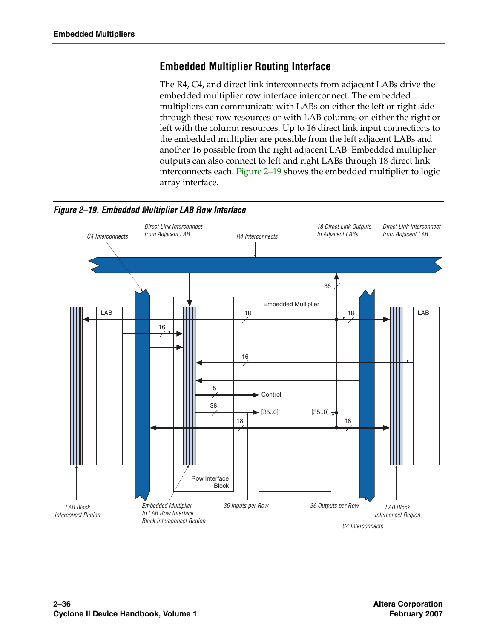### **Embedded Multiplier Routing Interface**

The R4, C4, and direct link interconnects from adjacent LABs drive the embedded multiplier row interface interconnect. The embedded multipliers can communicate with LABs on either the left or right side through these row resources or with LAB columns on either the right or left with the column resources. Up to 16 direct link input connections to the embedded multiplier are possible from the left adjacent LABs and another 16 possible from the right adjacent LAB. Embedded multiplier outputs can also connect to left and right LABs through 18 direct link interconnects each. [Figure 2–19](#page-35-0) shows the embedded multiplier to logic array interface.

<span id="page-35-0"></span>

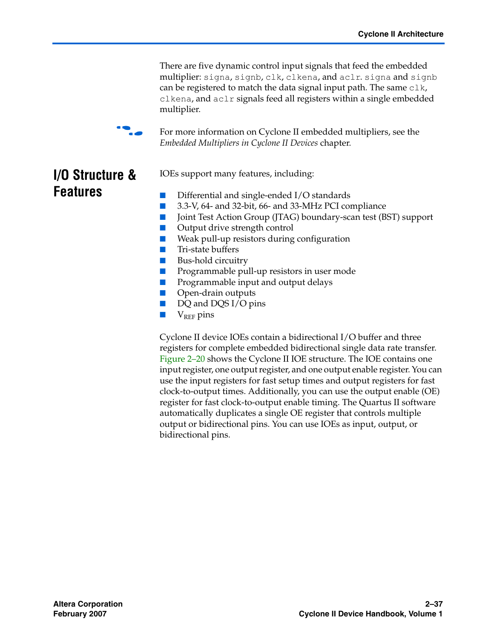There are five dynamic control input signals that feed the embedded multiplier: signa, signb, clk, clkena, and aclr. signa and signb can be registered to match the data signal input path. The same  $c1k$ , clkena, and aclr signals feed all registers within a single embedded multiplier.



For more information on Cyclone II embedded multipliers, see the *Embedded Multipliers in Cyclone II Devices* chapter.

## **I/O Structure & Features**

IOEs support many features, including:

- Differential and single-ended I/O standards
- 3.3-V, 64- and 32-bit, 66- and 33-MHz PCI compliance
- Joint Test Action Group (JTAG) boundary-scan test (BST) support
- Output drive strength control
- Weak pull-up resistors during configuration
- Tri-state buffers
- Bus-hold circuitry
- Programmable pull-up resistors in user mode
- Programmable input and output delays
- Open-drain outputs
- DQ and DQS I/O pins
- $\blacksquare$  V<sub>REF</sub> pins

Cyclone II device IOEs contain a bidirectional I/O buffer and three registers for complete embedded bidirectional single data rate transfer. [Figure 2–20](#page-37-0) shows the Cyclone II IOE structure. The IOE contains one input register, one output register, and one output enable register. You can use the input registers for fast setup times and output registers for fast clock-to-output times. Additionally, you can use the output enable (OE) register for fast clock-to-output enable timing. The Quartus II software automatically duplicates a single OE register that controls multiple output or bidirectional pins. You can use IOEs as input, output, or bidirectional pins.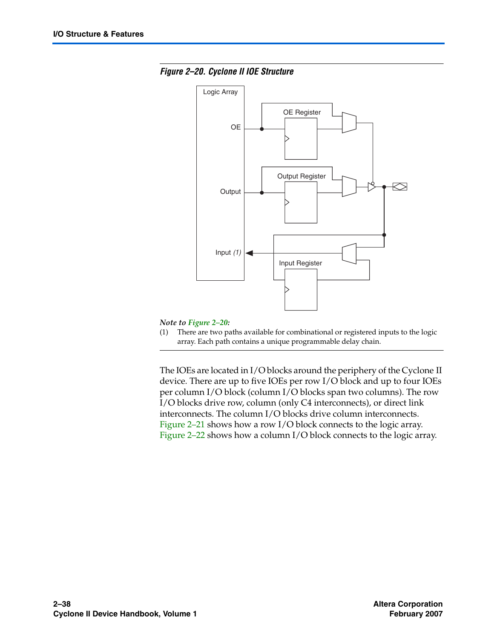<span id="page-37-0"></span>



#### *Note to [Figure 2–20:](#page-37-0)*

(1) There are two paths available for combinational or registered inputs to the logic array. Each path contains a unique programmable delay chain.

The IOEs are located in I/O blocks around the periphery of the Cyclone II device. There are up to five IOEs per row I/O block and up to four IOEs per column I/O block (column I/O blocks span two columns). The row I/O blocks drive row, column (only C4 interconnects), or direct link interconnects. The column I/O blocks drive column interconnects. [Figure 2–21](#page-38-0) shows how a row I/O block connects to the logic array. [Figure 2–22](#page-39-0) shows how a column I/O block connects to the logic array.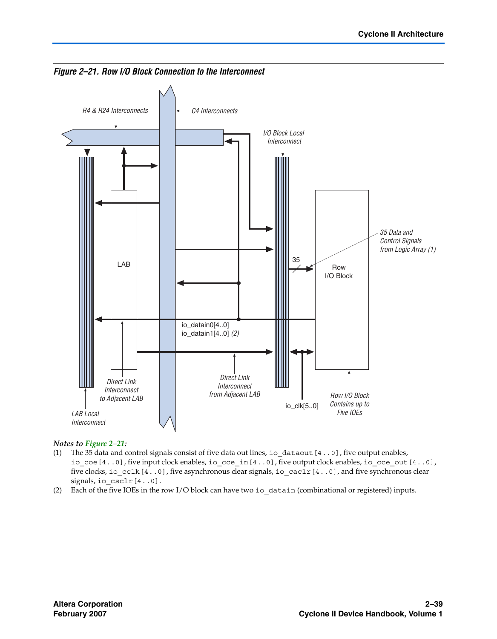

<span id="page-38-0"></span>*Figure 2–21. Row I/O Block Connection to the Interconnect*

#### *Notes to [Figure 2–21](#page-38-0):*

- (1) The 35 data and control signals consist of five data out lines, io\_dataout[4..0], five output enables, io\_coe[4..0], five input clock enables, io\_cce\_in[4..0], five output clock enables, io\_cce\_out[4..0], five clocks, io\_cclk[4..0], five asynchronous clear signals, io\_caclr[4..0], and five synchronous clear signals, io csclr[4..0].
- (2) Each of the five IOEs in the row I/O block can have two io\_datain (combinational or registered) inputs.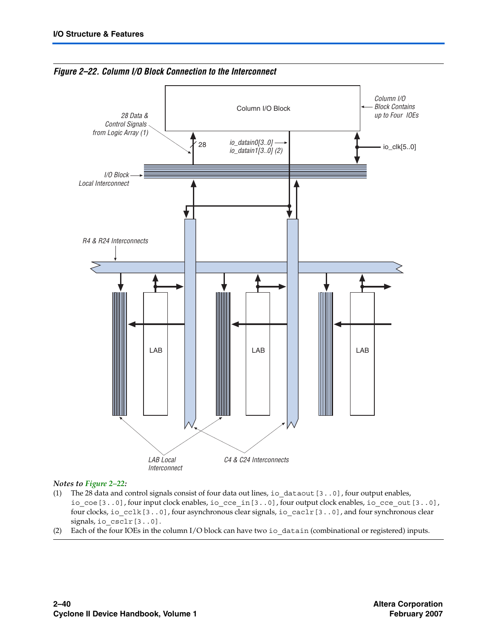

<span id="page-39-0"></span>*Figure 2–22. Column I/O Block Connection to the Interconnect*

#### *Notes to [Figure 2–22](#page-39-0):*

- (1) The 28 data and control signals consist of four data out lines, io\_dataout[3..0], four output enables, io\_coe[3..0], four input clock enables, io\_cce\_in[3..0], four output clock enables, io\_cce\_out[3..0], four clocks, io\_cclk[3..0], four asynchronous clear signals, io\_caclr[3..0], and four synchronous clear signals, io csclr[3..0].
- (2) Each of the four IOEs in the column I/O block can have two io\_datain (combinational or registered) inputs.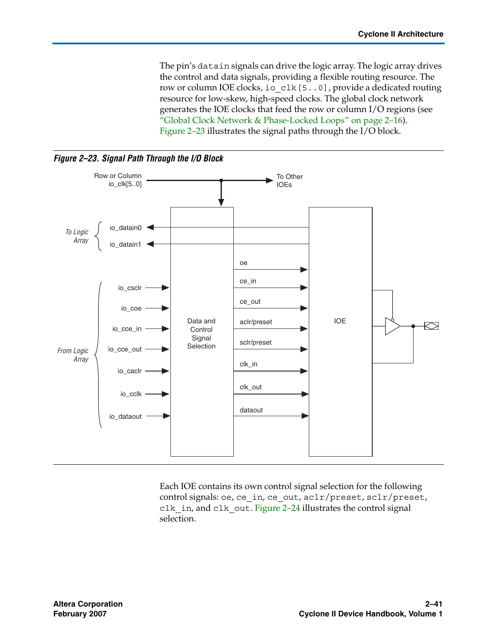The pin's datain signals can drive the logic array. The logic array drives the control and data signals, providing a flexible routing resource. The row or column IOE clocks, io\_clk[5..0], provide a dedicated routing resource for low-skew, high-speed clocks. The global clock network generates the IOE clocks that feed the row or column I/O regions (see ["Global Clock Network & Phase-Locked Loops" on page 2–16](#page-15-0)). [Figure 2–23](#page-40-0) illustrates the signal paths through the I/O block.

<span id="page-40-0"></span>

Each IOE contains its own control signal selection for the following control signals: oe, ce\_in, ce\_out, aclr/preset, sclr/preset, clk\_in, and clk\_out. [Figure 2–24](#page-41-0) illustrates the control signal selection.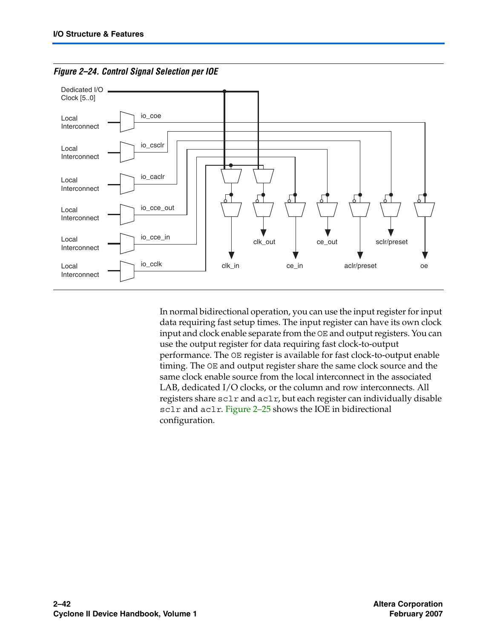

<span id="page-41-0"></span>*Figure 2–24. Control Signal Selection per IOE*

In normal bidirectional operation, you can use the input register for input data requiring fast setup times. The input register can have its own clock input and clock enable separate from the OE and output registers. You can use the output register for data requiring fast clock-to-output performance. The OE register is available for fast clock-to-output enable timing. The OE and output register share the same clock source and the same clock enable source from the local interconnect in the associated LAB, dedicated I/O clocks, or the column and row interconnects. All registers share sclr and aclr, but each register can individually disable sclr and aclr. Figure 2-25 shows the IOE in bidirectional configuration.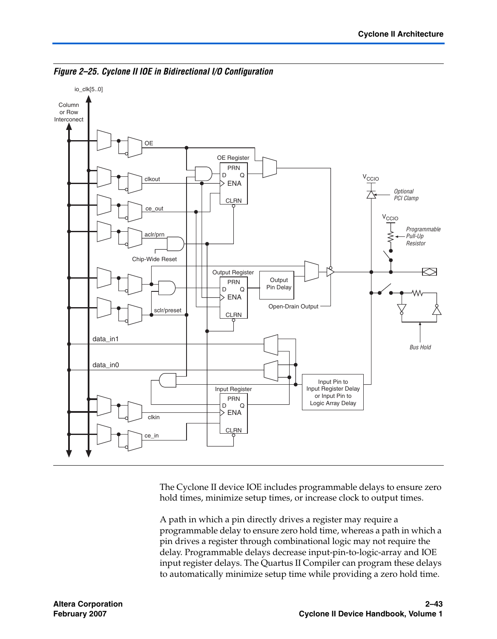

<span id="page-42-0"></span>*Figure 2–25. Cyclone II IOE in Bidirectional I/O Configuration*

The Cyclone II device IOE includes programmable delays to ensure zero hold times, minimize setup times, or increase clock to output times.

A path in which a pin directly drives a register may require a programmable delay to ensure zero hold time, whereas a path in which a pin drives a register through combinational logic may not require the delay. Programmable delays decrease input-pin-to-logic-array and IOE input register delays. The Quartus II Compiler can program these delays to automatically minimize setup time while providing a zero hold time.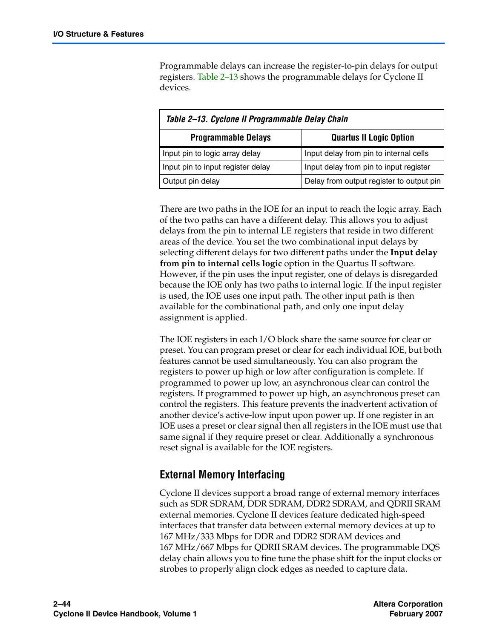Programmable delays can increase the register-to-pin delays for output registers. [Table 2–13](#page-43-0) shows the programmable delays for Cyclone II devices.

<span id="page-43-0"></span>

| Table 2-13. Cyclone II Programmable Delay Chain              |                                          |  |  |  |
|--------------------------------------------------------------|------------------------------------------|--|--|--|
| <b>Programmable Delays</b><br><b>Quartus II Logic Option</b> |                                          |  |  |  |
| Input pin to logic array delay                               | Input delay from pin to internal cells   |  |  |  |
| Input pin to input register delay                            | Input delay from pin to input register   |  |  |  |
| Output pin delay                                             | Delay from output register to output pin |  |  |  |

There are two paths in the IOE for an input to reach the logic array. Each of the two paths can have a different delay. This allows you to adjust delays from the pin to internal LE registers that reside in two different areas of the device. You set the two combinational input delays by selecting different delays for two different paths under the **Input delay from pin to internal cells logic** option in the Quartus II software. However, if the pin uses the input register, one of delays is disregarded because the IOE only has two paths to internal logic. If the input register is used, the IOE uses one input path. The other input path is then available for the combinational path, and only one input delay assignment is applied.

The IOE registers in each I/O block share the same source for clear or preset. You can program preset or clear for each individual IOE, but both features cannot be used simultaneously. You can also program the registers to power up high or low after configuration is complete. If programmed to power up low, an asynchronous clear can control the registers. If programmed to power up high, an asynchronous preset can control the registers. This feature prevents the inadvertent activation of another device's active-low input upon power up. If one register in an IOE uses a preset or clear signal then all registers in the IOE must use that same signal if they require preset or clear. Additionally a synchronous reset signal is available for the IOE registers.

### **External Memory Interfacing**

Cyclone II devices support a broad range of external memory interfaces such as SDR SDRAM, DDR SDRAM, DDR2 SDRAM, and QDRII SRAM external memories. Cyclone II devices feature dedicated high-speed interfaces that transfer data between external memory devices at up to 167 MHz/333 Mbps for DDR and DDR2 SDRAM devices and 167 MHz/667 Mbps for QDRII SRAM devices. The programmable DQS delay chain allows you to fine tune the phase shift for the input clocks or strobes to properly align clock edges as needed to capture data.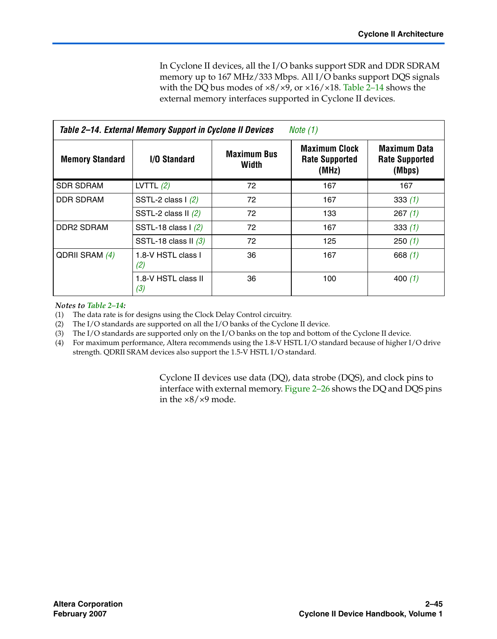In Cyclone II devices, all the I/O banks support SDR and DDR SDRAM memory up to 167 MHz/333 Mbps. All I/O banks support DQS signals with the DQ bus modes of ×8/×9, or ×16/×18. [Table 2–14](#page-44-0) shows the external memory interfaces supported in Cyclone II devices.

<span id="page-44-0"></span>

| Table 2–14. External Memory Support in Cyclone II Devices<br>Note $(1)$ |                             |                             |                                                        |                                                        |  |
|-------------------------------------------------------------------------|-----------------------------|-----------------------------|--------------------------------------------------------|--------------------------------------------------------|--|
| <b>Memory Standard</b>                                                  | <b>I/O Standard</b>         | <b>Maximum Bus</b><br>Width | <b>Maximum Clock</b><br><b>Rate Supported</b><br>(MHz) | <b>Maximum Data</b><br><b>Rate Supported</b><br>(Mbps) |  |
| <b>SDR SDRAM</b>                                                        | LVTTL $(2)$                 | 72                          | 167                                                    | 167                                                    |  |
| DDR SDRAM                                                               | SSTL-2 class $\frac{1}{2}$  | 72                          | 167                                                    | 333(1)                                                 |  |
|                                                                         | SSTL-2 class $II(2)$        | 72                          | 133                                                    | 267(1)                                                 |  |
| <b>DDR2 SDRAM</b>                                                       | SSTL-18 class $\frac{1}{2}$ | 72                          | 167                                                    | 333(1)                                                 |  |
|                                                                         | SSTL-18 class II $(3)$      | 72                          | 125                                                    | 250(1)                                                 |  |
| QDRII SRAM (4)                                                          | 1.8-V HSTL class I<br>(2)   | 36                          | 167                                                    | 668 $(1)$                                              |  |
|                                                                         | 1.8-V HSTL class II<br>(3)  | 36                          | 100                                                    | 400 $(1)$                                              |  |

### *Notes to [Table 2–14](#page-44-0):*

<span id="page-44-1"></span>(1) The data rate is for designs using the Clock Delay Control circuitry.

<span id="page-44-2"></span>(2) The I/O standards are supported on all the I/O banks of the Cyclone II device.

<span id="page-44-3"></span>(3) The I/O standards are supported only on the I/O banks on the top and bottom of the Cyclone II device.

<span id="page-44-4"></span>(4) For maximum performance, Altera recommends using the 1.8-V HSTL I/O standard because of higher I/O drive strength. QDRII SRAM devices also support the 1.5-V HSTL I/O standard.

> Cyclone II devices use data (DQ), data strobe (DQS), and clock pins to interface with external memory. [Figure 2–26](#page-45-0) shows the DQ and DQS pins in the ×8/×9 mode.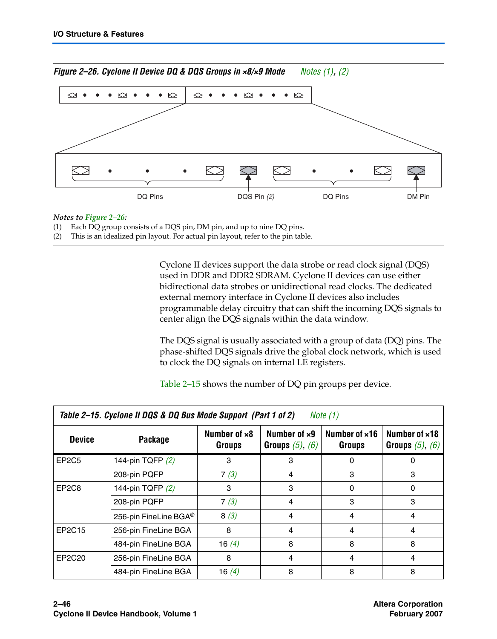<span id="page-45-0"></span>

#### *Notes to [Figure 2–26](#page-45-0):*

- <span id="page-45-1"></span>(1) Each DQ group consists of a DQS pin, DM pin, and up to nine DQ pins.
- <span id="page-45-2"></span>(2) This is an idealized pin layout. For actual pin layout, refer to the pin table.

Cyclone II devices support the data strobe or read clock signal (DQS) used in DDR and DDR2 SDRAM. Cyclone II devices can use either bidirectional data strobes or unidirectional read clocks. The dedicated external memory interface in Cyclone II devices also includes programmable delay circuitry that can shift the incoming DQS signals to center align the DQS signals within the data window.

The DQS signal is usually associated with a group of data (DQ) pins. The phase-shifted DQS signals drive the global clock network, which is used to clock the DQ signals on internal LE registers.

[Table 2–15](#page-45-3) shows the number of DQ pin groups per device.

<span id="page-45-3"></span>

| Table 2–15. Cyclone II DQS & DQ Bus Mode Support (Part 1 of 2)<br>Note (1) |                       |                        |                                              |                                |                                       |  |  |
|----------------------------------------------------------------------------|-----------------------|------------------------|----------------------------------------------|--------------------------------|---------------------------------------|--|--|
| <b>Device</b>                                                              | Package               | Number of x8<br>Groups | Number of $\times 9$<br>Groups $(5)$ , $(6)$ | Number of x16<br><b>Groups</b> | Number of x18<br>Groups $(5)$ , $(6)$ |  |  |
| EP <sub>2</sub> C <sub>5</sub>                                             | 144-pin TQFP (2)      | 3                      | 3                                            | 0                              | 0                                     |  |  |
|                                                                            | 208-pin PQFP          | 7(3)                   | 4                                            | 3                              | 3                                     |  |  |
| EP <sub>2</sub> C <sub>8</sub>                                             | 144-pin TQFP (2)      | 3                      | 3                                            | 0                              | 0                                     |  |  |
|                                                                            | 208-pin PQFP          | 7(3)                   | 4                                            | 3                              | 3                                     |  |  |
|                                                                            | 256-pin FineLine BGA® | 8(3)                   | 4                                            | 4                              | 4                                     |  |  |
| EP2C15                                                                     | 256-pin FineLine BGA  | 8                      | 4                                            | 4                              | 4                                     |  |  |
|                                                                            | 484-pin FineLine BGA  | 16 $(4)$               | 8                                            | 8                              | 8                                     |  |  |
| EP2C20                                                                     | 256-pin FineLine BGA  | 8                      | 4                                            | 4                              | 4                                     |  |  |
|                                                                            | 484-pin FineLine BGA  | 16 $(4)$               | 8                                            | 8                              | 8                                     |  |  |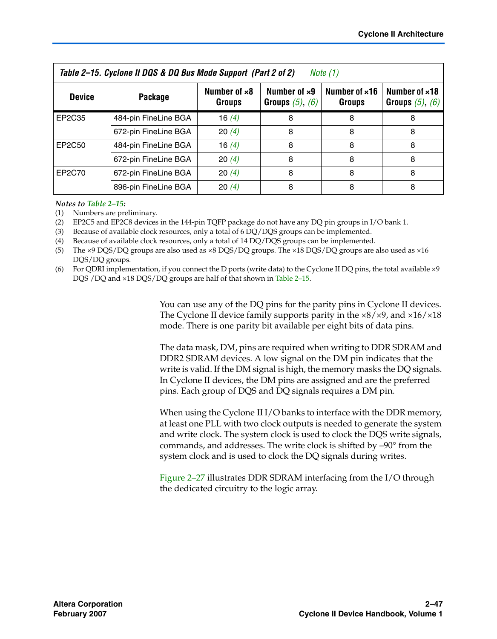| Table 2–15. Cyclone II DQS & DQ Bus Mode Support (Part 2 of 2)<br>Note (1) |                      |                               |                                              |                                |                                               |  |  |
|----------------------------------------------------------------------------|----------------------|-------------------------------|----------------------------------------------|--------------------------------|-----------------------------------------------|--|--|
| <b>Device</b>                                                              | Package              | Number of x8<br><b>Groups</b> | Number of $\times 9$<br>Groups $(5)$ , $(6)$ | Number of x16<br><b>Groups</b> | Number of $\times$ 18<br>Groups $(5)$ , $(6)$ |  |  |
| EP2C35                                                                     | 484-pin FineLine BGA | 16 $(4)$                      | 8                                            | 8                              |                                               |  |  |
|                                                                            | 672-pin FineLine BGA | 20(4)                         | 8                                            | 8                              |                                               |  |  |
| EP2C50                                                                     | 484-pin FineLine BGA | 16 $(4)$                      | 8                                            | 8                              |                                               |  |  |
|                                                                            | 672-pin FineLine BGA | 20(4)                         | 8                                            | 8                              | 8                                             |  |  |
| EP2C70                                                                     | 672-pin FineLine BGA | 20(4)                         | 8                                            |                                |                                               |  |  |
|                                                                            | 896-pin FineLine BGA | 20(4)                         | 8                                            |                                |                                               |  |  |

#### *Notes to [Table 2–15](#page-45-3):*

<span id="page-46-0"></span>(1) Numbers are preliminary.

<span id="page-46-4"></span>(2) EP2C5 and EP2C8 devices in the 144-pin TQFP package do not have any DQ pin groups in I/O bank 1.

<span id="page-46-5"></span>(3) Because of available clock resources, only a total of 6 DQ/DQS groups can be implemented.

<span id="page-46-3"></span>(4) Because of available clock resources, only a total of 14 DQ/DQS groups can be implemented.

<span id="page-46-1"></span>(5) The ×9 DQS/DQ groups are also used as ×8 DQS/DQ groups. The ×18 DQS/DQ groups are also used as ×16 DQS/DQ groups.

<span id="page-46-2"></span>(6) For QDRI implementation, if you connect the D ports (write data) to the Cyclone II DQ pins, the total available  $\times$ 9 DQS /DQ and ×18 DQS/DQ groups are half of that shown in [Table 2–15.](#page-45-3)

> You can use any of the DQ pins for the parity pins in Cyclone II devices. The Cyclone II device family supports parity in the  $\times 8/\times 9$ , and  $\times 16/\times 18$ mode. There is one parity bit available per eight bits of data pins.

> The data mask, DM, pins are required when writing to DDR SDRAM and DDR2 SDRAM devices. A low signal on the DM pin indicates that the write is valid. If the DM signal is high, the memory masks the DQ signals. In Cyclone II devices, the DM pins are assigned and are the preferred pins. Each group of DQS and DQ signals requires a DM pin.

> When using the Cyclone III/O banks to interface with the DDR memory, at least one PLL with two clock outputs is needed to generate the system and write clock. The system clock is used to clock the DQS write signals, commands, and addresses. The write clock is shifted by –90° from the system clock and is used to clock the DQ signals during writes.

[Figure 2–27](#page-47-0) illustrates DDR SDRAM interfacing from the I/O through the dedicated circuitry to the logic array.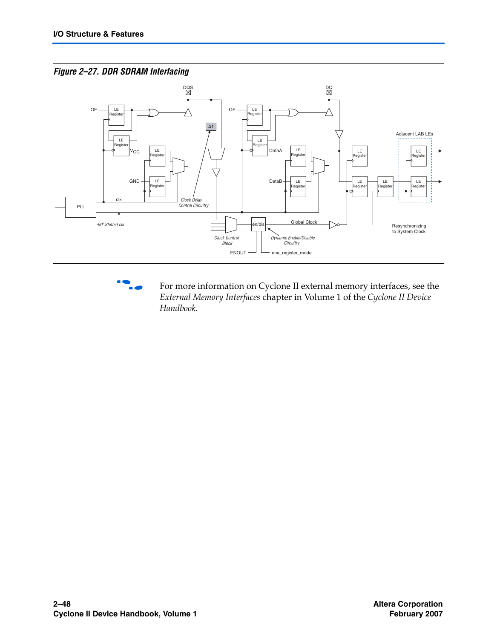<span id="page-47-0"></span>



**for more information on Cyclone II external memory interfaces, see the** *External Memory Interfaces* chapter in Volume 1 of the *Cyclone II Device Handbook*.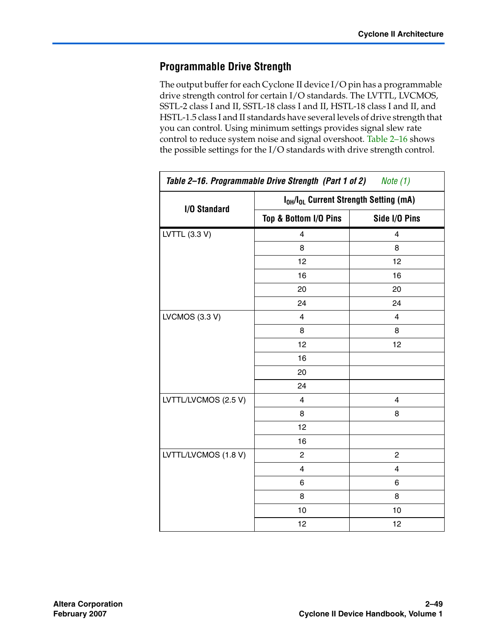### **Programmable Drive Strength**

The output buffer for each Cyclone II device I/O pin has a programmable drive strength control for certain I/O standards. The LVTTL, LVCMOS, SSTL-2 class I and II, SSTL-18 class I and II, HSTL-18 class I and II, and HSTL-1.5 class I and II standards have several levels of drive strength that you can control. Using minimum settings provides signal slew rate control to reduce system noise and signal overshoot. [Table 2–16](#page-48-0) shows the possible settings for the I/O standards with drive strength control.

<span id="page-48-0"></span>

| Table 2-16. Programmable Drive Strength (Part 1 of 2)<br>Note $(1)$ |                         |                                                                |  |
|---------------------------------------------------------------------|-------------------------|----------------------------------------------------------------|--|
|                                                                     |                         | I <sub>OH</sub> /I <sub>OL</sub> Current Strength Setting (mA) |  |
| I/O Standard                                                        | Top & Bottom I/O Pins   | Side I/O Pins                                                  |  |
| LVTTL (3.3 V)                                                       | 4                       | 4                                                              |  |
|                                                                     | 8                       | 8                                                              |  |
|                                                                     | 12                      | 12                                                             |  |
|                                                                     | 16                      | 16                                                             |  |
|                                                                     | 20                      | 20                                                             |  |
|                                                                     | 24                      | 24                                                             |  |
| LVCMOS (3.3 V)                                                      | $\overline{4}$          | 4                                                              |  |
|                                                                     | 8                       | 8                                                              |  |
|                                                                     | 12                      | 12                                                             |  |
|                                                                     | 16                      |                                                                |  |
|                                                                     | 20                      |                                                                |  |
|                                                                     | 24                      |                                                                |  |
| LVTTL/LVCMOS (2.5 V)                                                | $\overline{\mathbf{4}}$ | 4                                                              |  |
|                                                                     | 8                       | 8                                                              |  |
|                                                                     | 12                      |                                                                |  |
|                                                                     | 16                      |                                                                |  |
| LVTTL/LVCMOS (1.8 V)                                                | $\overline{2}$          | $\overline{2}$                                                 |  |
|                                                                     | 4                       | 4                                                              |  |
|                                                                     | 6                       | 6                                                              |  |
|                                                                     | 8                       | 8                                                              |  |
|                                                                     | 10                      | 10                                                             |  |
|                                                                     | 12                      | 12                                                             |  |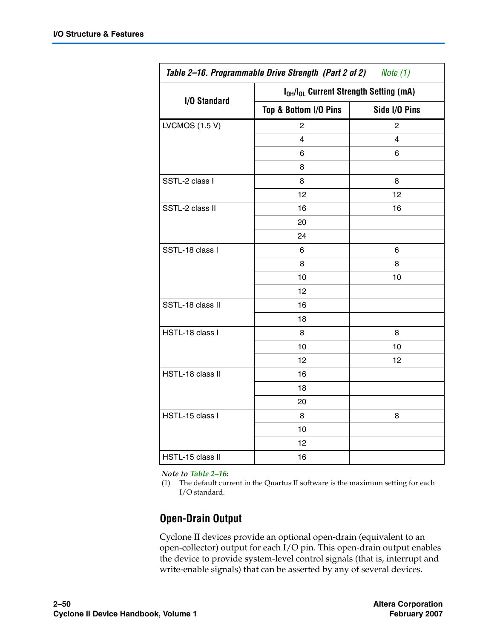| Table 2-16. Programmable Drive Strength (Part 2 of 2) Note (1) |                                                                |               |  |  |  |  |
|----------------------------------------------------------------|----------------------------------------------------------------|---------------|--|--|--|--|
|                                                                | I <sub>OH</sub> /I <sub>OL</sub> Current Strength Setting (mA) |               |  |  |  |  |
| I/O Standard                                                   | Top & Bottom I/O Pins                                          | Side I/O Pins |  |  |  |  |
| <b>LVCMOS (1.5 V)</b>                                          | $\overline{2}$                                                 | 2             |  |  |  |  |
|                                                                | 4                                                              | 4             |  |  |  |  |
|                                                                | 6                                                              | 6             |  |  |  |  |
|                                                                | 8                                                              |               |  |  |  |  |
| SSTL-2 class I                                                 | 8                                                              | 8             |  |  |  |  |
|                                                                | 12                                                             | 12            |  |  |  |  |
| SSTL-2 class II                                                | 16                                                             | 16            |  |  |  |  |
|                                                                | 20                                                             |               |  |  |  |  |
|                                                                | 24                                                             |               |  |  |  |  |
| SSTL-18 class I                                                | 6                                                              | 6             |  |  |  |  |
|                                                                | 8                                                              | 8             |  |  |  |  |
|                                                                | 10                                                             | 10            |  |  |  |  |
|                                                                | 12                                                             |               |  |  |  |  |
| SSTL-18 class II                                               | 16                                                             |               |  |  |  |  |
|                                                                | 18                                                             |               |  |  |  |  |
| HSTL-18 class I                                                | 8                                                              | 8             |  |  |  |  |
|                                                                | 10                                                             | 10            |  |  |  |  |
|                                                                | 12                                                             | 12            |  |  |  |  |
| HSTL-18 class II                                               | 16                                                             |               |  |  |  |  |
|                                                                | 18                                                             |               |  |  |  |  |
|                                                                | 20                                                             |               |  |  |  |  |
| HSTL-15 class I                                                | 8                                                              | 8             |  |  |  |  |
|                                                                | 10                                                             |               |  |  |  |  |
|                                                                | 12                                                             |               |  |  |  |  |
| HSTL-15 class II                                               | 16                                                             |               |  |  |  |  |

#### *Note to [Table 2–16:](#page-48-0)*

<span id="page-49-0"></span>(1) The default current in the Quartus II software is the maximum setting for each I/O standard.

### **Open-Drain Output**

Cyclone II devices provide an optional open-drain (equivalent to an open-collector) output for each I/O pin. This open-drain output enables the device to provide system-level control signals (that is, interrupt and write-enable signals) that can be asserted by any of several devices.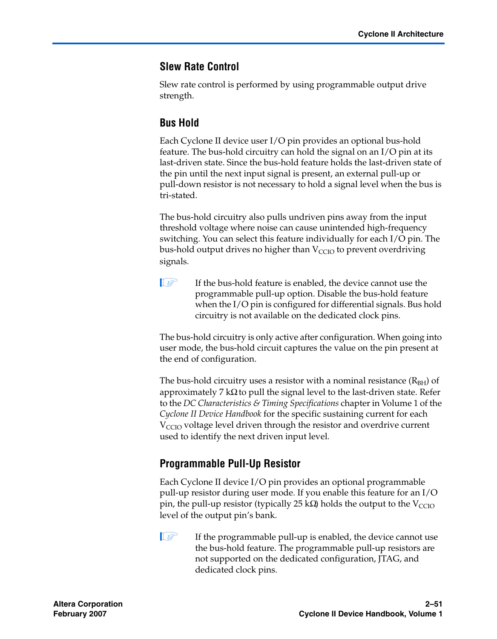### **Slew Rate Control**

Slew rate control is performed by using programmable output drive strength.

### **Bus Hold**

Each Cyclone II device user I/O pin provides an optional bus-hold feature. The bus-hold circuitry can hold the signal on an I/O pin at its last-driven state. Since the bus-hold feature holds the last-driven state of the pin until the next input signal is present, an external pull-up or pull-down resistor is not necessary to hold a signal level when the bus is tri-stated.

The bus-hold circuitry also pulls undriven pins away from the input threshold voltage where noise can cause unintended high-frequency switching. You can select this feature individually for each I/O pin. The bus-hold output drives no higher than  $V_{\text{CCIO}}$  to prevent overdriving signals.

 $\mathbb{I}$  If the bus-hold feature is enabled, the device cannot use the programmable pull-up option. Disable the bus-hold feature when the I/O pin is configured for differential signals. Bus hold circuitry is not available on the dedicated clock pins.

The bus-hold circuitry is only active after configuration. When going into user mode, the bus-hold circuit captures the value on the pin present at the end of configuration.

The bus-hold circuitry uses a resistor with a nominal resistance  $(R<sub>BH</sub>)$  of approximately 7 kΩ to pull the signal level to the last-driven state. Refer to the *DC Characteristics & Timing Specifications* chapter in Volume 1 of the *Cyclone II Device Handbook* for the specific sustaining current for each  $V<sub>CCIO</sub>$  voltage level driven through the resistor and overdrive current used to identify the next driven input level.

### **Programmable Pull-Up Resistor**

Each Cyclone II device I/O pin provides an optional programmable pull-up resistor during user mode. If you enable this feature for an I/O pin, the pull-up resistor (typically 25 kΩ) holds the output to the  $V_{CCIO}$ level of the output pin's bank.

 $\Box$  If the programmable pull-up is enabled, the device cannot use the bus-hold feature. The programmable pull-up resistors are not supported on the dedicated configuration, JTAG, and dedicated clock pins.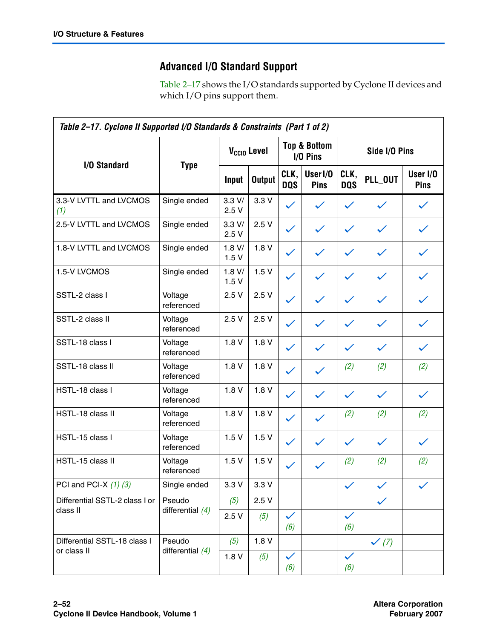## **Advanced I/O Standard Support**

[Table 2–17](#page-51-0) shows the I/O standards supported by Cyclone II devices and which I/O pins support them.

<span id="page-51-0"></span>

| Table 2-17. Cyclone II Supported I/O Standards & Constraints (Part 1 of 2) |                       |                         |               |                                     |                             |                     |                  |                         |
|----------------------------------------------------------------------------|-----------------------|-------------------------|---------------|-------------------------------------|-----------------------------|---------------------|------------------|-------------------------|
|                                                                            |                       | V <sub>ccio</sub> Level |               | <b>Top &amp; Bottom</b><br>I/O Pins |                             | Side I/O Pins       |                  |                         |
| I/O Standard                                                               | <b>Type</b>           | Input                   | <b>Output</b> | CLK,<br><b>DQS</b>                  | User <sub>I/0</sub><br>Pins | CLK,<br><b>DQS</b>  | PLL OUT          | User I/O<br><b>Pins</b> |
| 3.3-V LVTTL and LVCMOS<br>(1)                                              | Single ended          | 3.3 V/<br>2.5V          | 3.3V          | $\checkmark$                        | $\checkmark$                | $\checkmark$        | $\checkmark$     | $\checkmark$            |
| 2.5-V LVTTL and LVCMOS                                                     | Single ended          | 3.3 V/<br>2.5V          | 2.5V          | $\checkmark$                        | $\checkmark$                | $\checkmark$        |                  |                         |
| 1.8-V LVTTL and LVCMOS                                                     | Single ended          | 1.8 V/<br>1.5V          | 1.8V          | $\checkmark$                        | $\checkmark$                | $\checkmark$        | $\checkmark$     |                         |
| 1.5-V LVCMOS                                                               | Single ended          | 1.8 V/<br>1.5V          | 1.5V          | $\checkmark$                        | $\checkmark$                | $\checkmark$        | $\checkmark$     |                         |
| SSTL-2 class I                                                             | Voltage<br>referenced | 2.5V                    | 2.5V          | $\checkmark$                        | $\checkmark$                | $\checkmark$        | $\checkmark$     |                         |
| SSTL-2 class II                                                            | Voltage<br>referenced | 2.5V                    | 2.5V          | $\checkmark$                        | $\checkmark$                | $\checkmark$        | $\checkmark$     |                         |
| SSTL-18 class I                                                            | Voltage<br>referenced | 1.8V                    | 1.8V          | $\checkmark$                        | $\checkmark$                | $\checkmark$        | $\checkmark$     |                         |
| SSTL-18 class II                                                           | Voltage<br>referenced | 1.8V                    | 1.8V          | $\checkmark$                        | $\checkmark$                | (2)                 | (2)              | (2)                     |
| HSTL-18 class I                                                            | Voltage<br>referenced | 1.8V                    | 1.8V          | $\checkmark$                        | $\checkmark$                | $\checkmark$        | ✓                |                         |
| HSTL-18 class II                                                           | Voltage<br>referenced | 1.8V                    | 1.8V          | $\checkmark$                        | $\checkmark$                | (2)                 | (2)              | (2)                     |
| HSTL-15 class I                                                            | Voltage<br>referenced | 1.5V                    | 1.5V          | $\checkmark$                        | $\checkmark$                | $\checkmark$        | $\checkmark$     | $\checkmark$            |
| HSTL-15 class II                                                           | Voltage<br>referenced | 1.5V                    | 1.5V          | $\checkmark$                        | $\checkmark$                | (2)                 | (2)              | (2)                     |
| PCI and PCI-X $(1)$ $(3)$                                                  | Single ended          | 3.3V                    | 3.3V          |                                     |                             | ✓                   | $\checkmark$     | $\checkmark$            |
| Differential SSTL-2 class I or                                             | Pseudo                | (5)                     | 2.5V          |                                     |                             |                     |                  |                         |
| class II                                                                   | differential $(4)$    | 2.5V                    | (5)           | $\checkmark$<br>(6)                 |                             | $\checkmark$<br>(6) |                  |                         |
| Differential SSTL-18 class I                                               | Pseudo                | (5)                     | 1.8V          |                                     |                             |                     | $\checkmark$ (7) |                         |
| or class II                                                                | differential $(4)$    | 1.8V                    | (5)           | $\checkmark$<br>(6)                 |                             | $\checkmark$<br>(6) |                  |                         |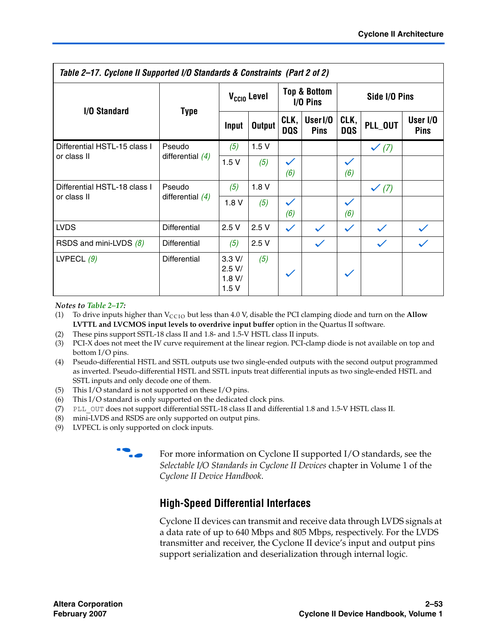| Table 2–17. Cyclone II Supported I/O Standards & Constraints (Part 2 of 2) |                     |                                      |               |                                       |                                    |                     |                  |                         |
|----------------------------------------------------------------------------|---------------------|--------------------------------------|---------------|---------------------------------------|------------------------------------|---------------------|------------------|-------------------------|
| <b>I/O Standard</b>                                                        | <b>Type</b>         | V <sub>ccio</sub> Level              |               | <b>Top &amp; Bottom</b><br>$I/O$ Pins |                                    | Side I/O Pins       |                  |                         |
|                                                                            |                     | Input                                | <b>Output</b> | CLK,<br>DQS                           | User <sub>I/0</sub><br><b>Pins</b> | CLK,<br><b>DOS</b>  | PLL_OUT          | User I/O<br><b>Pins</b> |
| Differential HSTL-15 class I                                               | Pseudo              | (5)                                  | 1.5V          |                                       |                                    |                     | $\checkmark$ (7) |                         |
| or class II                                                                | differential $(4)$  | 1.5V                                 | (5)           | $\checkmark$<br>(6)                   |                                    | $\checkmark$<br>(6) |                  |                         |
| Differential HSTL-18 class I                                               | Pseudo              | (5)                                  | 1.8V          |                                       |                                    |                     | $\checkmark$ (7) |                         |
| or class II                                                                | differential $(4)$  | 1.8V                                 | (5)           | $\checkmark$<br>(6)                   |                                    | $\checkmark$<br>(6) |                  |                         |
| <b>LVDS</b>                                                                | <b>Differential</b> | 2.5V                                 | 2.5V          | $\checkmark$                          | $\checkmark$                       | $\checkmark$        | $\checkmark$     | $\checkmark$            |
| RSDS and mini-LVDS (8)                                                     | Differential        | (5)                                  | 2.5V          |                                       | $\checkmark$                       |                     | $\checkmark$     | $\checkmark$            |
| LVPECL $(9)$                                                               | <b>Differential</b> | 3.3 V/<br>$2.5$ V/<br>1.8 V/<br>1.5V | (5)           |                                       |                                    | $\checkmark$        |                  |                         |

*Notes to [Table 2–17](#page-51-0):*

- <span id="page-52-1"></span>(1) To drive inputs higher than  $V_{CCIO}$  but less than 4.0 V, disable the PCI clamping diode and turn on the **Allow LVTTL and LVCMOS input levels to overdrive input buffer** option in the Quartus II software.
- <span id="page-52-0"></span>(2) These pins support SSTL-18 class II and 1.8- and 1.5-V HSTL class II inputs.
- <span id="page-52-6"></span>(3) PCI-X does not meet the IV curve requirement at the linear region. PCI-clamp diode is not available on top and bottom I/O pins.
- <span id="page-52-2"></span>(4) Pseudo-differential HSTL and SSTL outputs use two single-ended outputs with the second output programmed as inverted. Pseudo-differential HSTL and SSTL inputs treat differential inputs as two single-ended HSTL and SSTL inputs and only decode one of them.
- <span id="page-52-3"></span>(5) This I/O standard is not supported on these I/O pins.
- <span id="page-52-4"></span>(6) This I/O standard is only supported on the dedicated clock pins.
- <span id="page-52-5"></span>(7) PLL\_OUT does not support differential SSTL-18 class II and differential 1.8 and 1.5-V HSTL class II.
- <span id="page-52-7"></span>(8) mini-LVDS and RSDS are only supported on output pins.
- <span id="page-52-8"></span>(9) LVPECL is only supported on clock inputs.



**For more information on Cyclone II supported I/O standards, see the** *Selectable I/O Standards in Cyclone II Devices* chapter in Volume 1 of the *Cyclone II Device Handbook*.

### **High-Speed Differential Interfaces**

Cyclone II devices can transmit and receive data through LVDS signals at a data rate of up to 640 Mbps and 805 Mbps, respectively. For the LVDS transmitter and receiver, the Cyclone II device's input and output pins support serialization and deserialization through internal logic.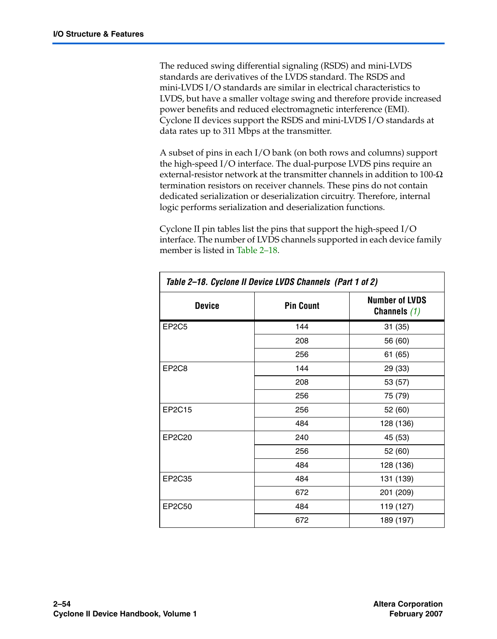The reduced swing differential signaling (RSDS) and mini-LVDS standards are derivatives of the LVDS standard. The RSDS and mini-LVDS I/O standards are similar in electrical characteristics to LVDS, but have a smaller voltage swing and therefore provide increased power benefits and reduced electromagnetic interference (EMI). Cyclone II devices support the RSDS and mini-LVDS I/O standards at data rates up to 311 Mbps at the transmitter.

A subset of pins in each I/O bank (on both rows and columns) support the high-speed I/O interface. The dual-purpose LVDS pins require an external-resistor network at the transmitter channels in addition to 100-Ω termination resistors on receiver channels. These pins do not contain dedicated serialization or deserialization circuitry. Therefore, internal logic performs serialization and deserialization functions.

Cyclone II pin tables list the pins that support the high-speed I/O interface. The number of LVDS channels supported in each device family member is listed in [Table 2–18](#page-53-0).

<span id="page-53-0"></span>

| Table 2-18. Cyclone II Device LVDS Channels (Part 1 of 2) |                  |                                         |  |  |  |
|-----------------------------------------------------------|------------------|-----------------------------------------|--|--|--|
| <b>Device</b>                                             | <b>Pin Count</b> | <b>Number of LVDS</b><br>Channels $(1)$ |  |  |  |
| EP <sub>2</sub> C <sub>5</sub>                            | 144              | 31 (35)                                 |  |  |  |
|                                                           | 208              | 56 (60)                                 |  |  |  |
|                                                           | 256              | 61 (65)                                 |  |  |  |
| EP <sub>2</sub> C <sub>8</sub>                            | 144              | 29 (33)                                 |  |  |  |
|                                                           | 208              | 53 (57)                                 |  |  |  |
|                                                           | 256              | 75 (79)                                 |  |  |  |
| EP2C15                                                    | 256              | 52 (60)                                 |  |  |  |
|                                                           | 484              | 128 (136)                               |  |  |  |
| EP2C20                                                    | 240              | 45 (53)                                 |  |  |  |
|                                                           | 256              | 52 (60)                                 |  |  |  |
|                                                           | 484              | 128 (136)                               |  |  |  |
| EP2C35                                                    | 484              | 131 (139)                               |  |  |  |
|                                                           | 672              | 201 (209)                               |  |  |  |
| EP2C50                                                    | 484              | 119 (127)                               |  |  |  |
|                                                           | 672              | 189 (197)                               |  |  |  |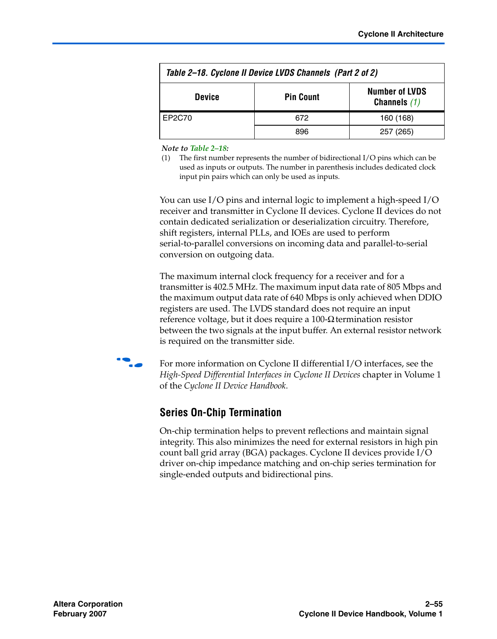| Table 2–18. Cyclone II Device LVDS Channels (Part 2 of 2)                    |     |           |  |  |  |
|------------------------------------------------------------------------------|-----|-----------|--|--|--|
| <b>Number of LVDS</b><br><b>Pin Count</b><br><b>Device</b><br>Channels $(1)$ |     |           |  |  |  |
| EP2C70                                                                       | 672 | 160 (168) |  |  |  |
|                                                                              | 896 | 257 (265) |  |  |  |

*Note to [Table 2–18:](#page-53-0)*

<span id="page-54-0"></span>(1) The first number represents the number of bidirectional I/O pins which can be used as inputs or outputs. The number in parenthesis includes dedicated clock input pin pairs which can only be used as inputs.

You can use I/O pins and internal logic to implement a high-speed I/O receiver and transmitter in Cyclone II devices. Cyclone II devices do not contain dedicated serialization or deserialization circuitry. Therefore, shift registers, internal PLLs, and IOEs are used to perform serial-to-parallel conversions on incoming data and parallel-to-serial conversion on outgoing data.

The maximum internal clock frequency for a receiver and for a transmitter is 402.5 MHz. The maximum input data rate of 805 Mbps and the maximum output data rate of 640 Mbps is only achieved when DDIO registers are used. The LVDS standard does not require an input reference voltage, but it does require a 100-Ω termination resistor between the two signals at the input buffer. An external resistor network is required on the transmitter side.



For more information on Cyclone II differential I/O interfaces, see the *High-Speed Differential Interfaces in Cyclone II Devices* chapter in Volume 1 of the *Cyclone II Device Handbook*.

### **Series On-Chip Termination**

On-chip termination helps to prevent reflections and maintain signal integrity. This also minimizes the need for external resistors in high pin count ball grid array (BGA) packages. Cyclone II devices provide I/O driver on-chip impedance matching and on-chip series termination for single-ended outputs and bidirectional pins.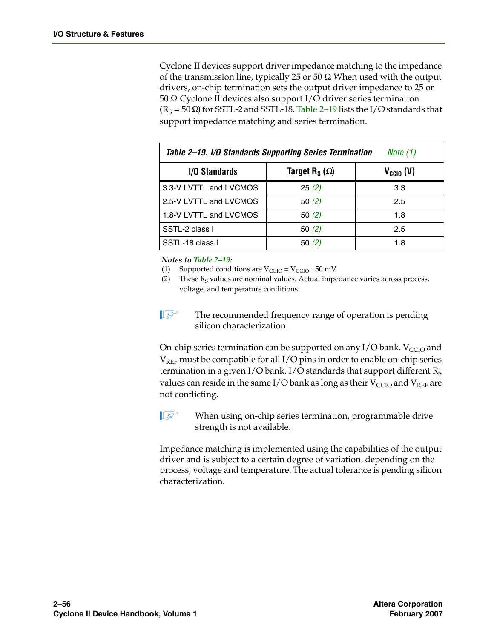Cyclone II devices support driver impedance matching to the impedance of the transmission line, typically 25 or 50  $\Omega$  When used with the output drivers, on-chip termination sets the output driver impedance to 25 or 50 Ω. Cyclone II devices also support I/O driver series termination  $(R<sub>S</sub> = 50 Ω)$  for SSTL-2 and SSTL-18. [Table 2–19](#page-55-1) lists the I/O standards that support impedance matching and series termination.

<span id="page-55-1"></span>

| Table 2–19. I/O Standards Supporting Series Termination<br>Note (1) |                      |     |  |  |  |
|---------------------------------------------------------------------|----------------------|-----|--|--|--|
| <b>I/O Standards</b>                                                | $V_{\text{CCIO}}(V)$ |     |  |  |  |
| 3.3-V LVTTL and LVCMOS                                              | 25(2)                | 3.3 |  |  |  |
| 2.5-V LVTTL and LVCMOS                                              | 50 $(2)$             | 2.5 |  |  |  |
| 1.8-V LVTTL and LVCMOS                                              | 50 $(2)$             | 1.8 |  |  |  |
| SSTL-2 class I                                                      | 50 $(2)$             | 2.5 |  |  |  |
| SSTL-18 class I                                                     | 50 $(2)$             | 1.8 |  |  |  |

*Notes to [Table 2–19](#page-55-1):*

<span id="page-55-0"></span>(1) Supported conditions are  $V_{\text{CCIO}} = V_{\text{CCIO}} \pm 50$  mV.

- <span id="page-55-2"></span>(2) These  $R<sub>S</sub>$  values are nominal values. Actual impedance varies across process, voltage, and temperature conditions.
- **1 The recommended frequency range of operation is pending** silicon characterization.

On-chip series termination can be supported on any  $I/O$  bank.  $V_{CCIO}$  and  $V_{REF}$  must be compatible for all I/O pins in order to enable on-chip series termination in a given I/O bank. I/O standards that support different  $R<sub>S</sub>$ values can reside in the same I/O bank as long as their  $V_{CCIO}$  and  $V_{REF}$  are not conflicting.

- 
- $\mathbb{I}$  When using on-chip series termination, programmable drive strength is not available.

Impedance matching is implemented using the capabilities of the output driver and is subject to a certain degree of variation, depending on the process, voltage and temperature. The actual tolerance is pending silicon characterization.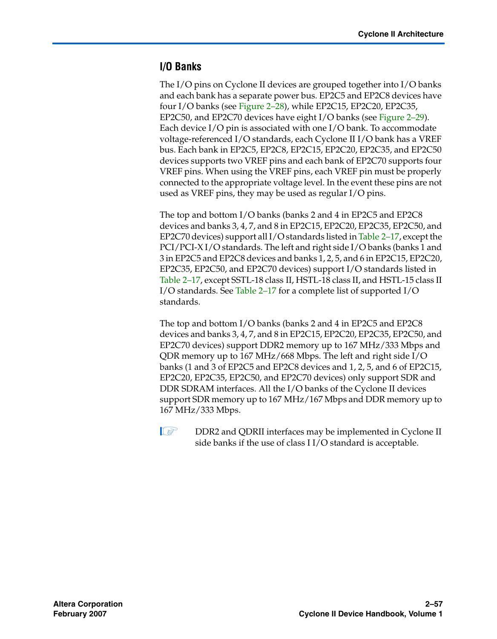### <span id="page-56-0"></span>**I/O Banks**

The I/O pins on Cyclone II devices are grouped together into I/O banks and each bank has a separate power bus. EP2C5 and EP2C8 devices have four I/O banks (see [Figure 2–28](#page-57-0)), while EP2C15, EP2C20, EP2C35, EP2C50, and EP2C70 devices have eight I/O banks (see [Figure 2–29](#page-58-0)). Each device I/O pin is associated with one I/O bank. To accommodate voltage-referenced I/O standards, each Cyclone II I/O bank has a VREF bus. Each bank in EP2C5, EP2C8, EP2C15, EP2C20, EP2C35, and EP2C50 devices supports two VREF pins and each bank of EP2C70 supports four VREF pins. When using the VREF pins, each VREF pin must be properly connected to the appropriate voltage level. In the event these pins are not used as VREF pins, they may be used as regular I/O pins.

The top and bottom I/O banks (banks 2 and 4 in EP2C5 and EP2C8 devices and banks 3, 4, 7, and 8 in EP2C15, EP2C20, EP2C35, EP2C50, and EP2C70 devices) support all I/O standards listed in [Table 2–17,](#page-51-0) except the PCI/PCI-X I/O standards. The left and right side I/O banks (banks 1 and 3 in EP2C5 and EP2C8 devices and banks 1, 2, 5, and 6 in EP2C15, EP2C20, EP2C35, EP2C50, and EP2C70 devices) support I/O standards listed in [Table 2–17](#page-51-0), except SSTL-18 class II, HSTL-18 class II, and HSTL-15 class II I/O standards. See [Table 2–17](#page-51-0) for a complete list of supported I/O standards.

The top and bottom I/O banks (banks 2 and 4 in EP2C5 and EP2C8 devices and banks 3, 4, 7, and 8 in EP2C15, EP2C20, EP2C35, EP2C50, and EP2C70 devices) support DDR2 memory up to 167 MHz/333 Mbps and QDR memory up to 167 MHz/668 Mbps. The left and right side I/O banks (1 and 3 of EP2C5 and EP2C8 devices and 1, 2, 5, and 6 of EP2C15, EP2C20, EP2C35, EP2C50, and EP2C70 devices) only support SDR and DDR SDRAM interfaces. All the I/O banks of the Cyclone II devices support SDR memory up to 167 MHz/167 Mbps and DDR memory up to 167 MHz/333 Mbps.

**1 DDR2** and QDRII interfaces may be implemented in Cyclone II side banks if the use of class I I/O standard is acceptable.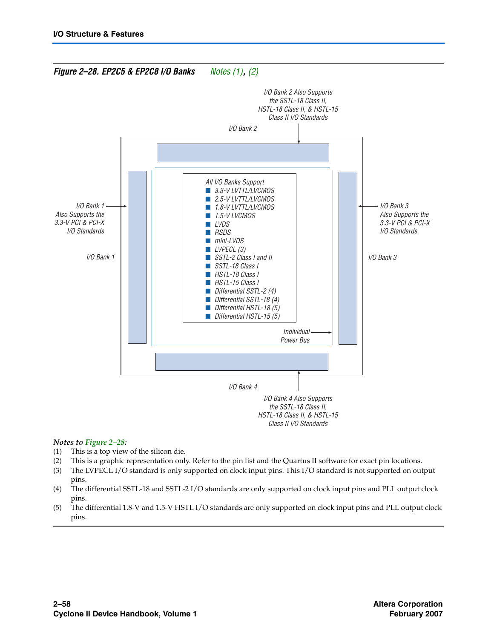<span id="page-57-0"></span>

#### *Notes to [Figure 2–28](#page-57-0):*

- <span id="page-57-1"></span>(1) This is a top view of the silicon die.
- <span id="page-57-2"></span>(2) This is a graphic representation only. Refer to the pin list and the Quartus II software for exact pin locations.
- (3) The LVPECL I/O standard is only supported on clock input pins. This I/O standard is not supported on output pins.
- (4) The differential SSTL-18 and SSTL-2 I/O standards are only supported on clock input pins and PLL output clock pins.
- (5) The differential 1.8-V and 1.5-V HSTL I/O standards are only supported on clock input pins and PLL output clock pins.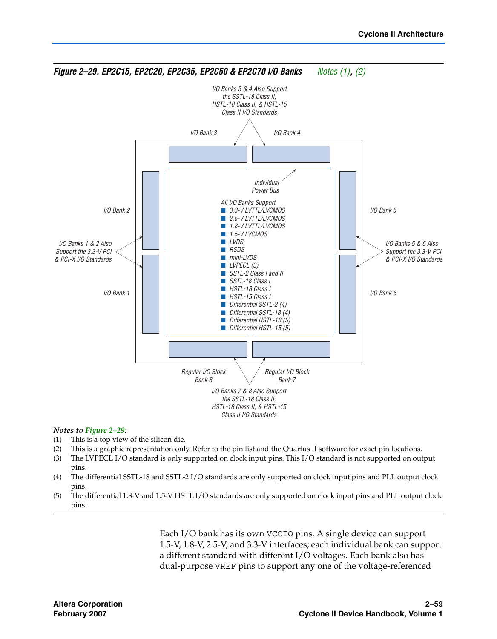<span id="page-58-0"></span>

#### *Notes to [Figure 2–29](#page-58-0):*

- <span id="page-58-1"></span>(1) This is a top view of the silicon die.
- <span id="page-58-2"></span>(2) This is a graphic representation only. Refer to the pin list and the Quartus II software for exact pin locations.
- (3) The LVPECL I/O standard is only supported on clock input pins. This I/O standard is not supported on output pins.
- (4) The differential SSTL-18 and SSTL-2 I/O standards are only supported on clock input pins and PLL output clock pins.
- (5) The differential 1.8-V and 1.5-V HSTL I/O standards are only supported on clock input pins and PLL output clock pins.

Each I/O bank has its own VCCIO pins. A single device can support 1.5-V, 1.8-V, 2.5-V, and 3.3-V interfaces; each individual bank can support a different standard with different I/O voltages. Each bank also has dual-purpose VREF pins to support any one of the voltage-referenced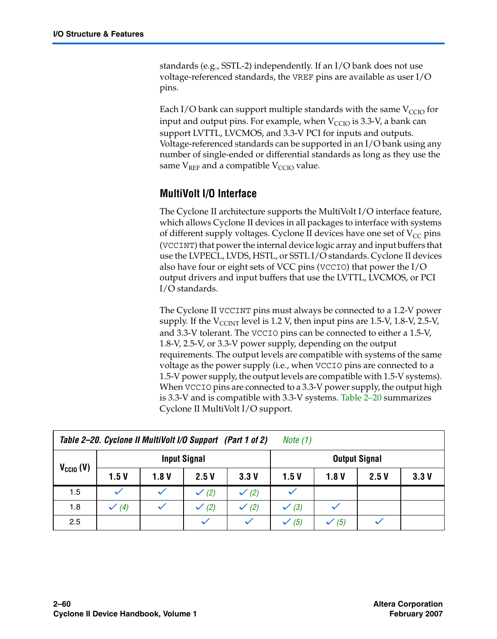standards (e.g., SSTL-2) independently. If an I/O bank does not use voltage-referenced standards, the VREF pins are available as user I/O pins.

Each I/O bank can support multiple standards with the same  $V_{CCIO}$  for input and output pins. For example, when  $V_{CCIO}$  is 3.3-V, a bank can support LVTTL, LVCMOS, and 3.3-V PCI for inputs and outputs. Voltage-referenced standards can be supported in an I/O bank using any number of single-ended or differential standards as long as they use the same  $V_{REF}$  and a compatible  $V_{CCIO}$  value.

### **MultiVolt I/O Interface**

The Cyclone II architecture supports the MultiVolt I/O interface feature, which allows Cyclone II devices in all packages to interface with systems of different supply voltages. Cyclone II devices have one set of  $V_{CC}$  pins (VCCINT) that power the internal device logic array and input buffers that use the LVPECL, LVDS, HSTL, or SSTL I/O standards. Cyclone II devices also have four or eight sets of VCC pins (VCCIO) that power the I/O output drivers and input buffers that use the LVTTL, LVCMOS, or PCI I/O standards.

The Cyclone II VCCINT pins must always be connected to a 1.2-V power supply. If the  $V_{\text{CCINT}}$  level is 1.2 V, then input pins are 1.5-V, 1.8-V, 2.5-V, and 3.3-V tolerant. The VCCIO pins can be connected to either a 1.5-V, 1.8-V, 2.5-V, or 3.3-V power supply, depending on the output requirements. The output levels are compatible with systems of the same voltage as the power supply (i.e., when VCCIO pins are connected to a 1.5-V power supply, the output levels are compatible with 1.5-V systems). When VCCIO pins are connected to a 3.3-V power supply, the output high is 3.3-V and is compatible with 3.3-V systems. [Table 2–20](#page-59-0) summarizes Cyclone II MultiVolt I/O support.

<span id="page-59-0"></span>

| Table 2-20. Cyclone II MultiVolt I/O Support (Part 1 of 2)<br><i>Note</i> $(1)$ |                     |              |                  |                  |                      |       |      |      |
|---------------------------------------------------------------------------------|---------------------|--------------|------------------|------------------|----------------------|-------|------|------|
|                                                                                 | <b>Input Signal</b> |              |                  |                  | <b>Output Signal</b> |       |      |      |
| $V_{\text{CCIO}}(V)$                                                            | 1.5V                | 1.8V         | 2.5V             | 3.3V             | 1.5 V                | 1.8 V | 2.5V | 3.3V |
| 1.5                                                                             | $\checkmark$        | $\checkmark$ | $\checkmark$ (2) | $\checkmark$ (2) |                      |       |      |      |
| 1.8                                                                             | $\checkmark$ (4)    | $\checkmark$ | $\checkmark$ (2) | $\checkmark$ (2) | $\checkmark$ (3)     |       |      |      |
| 2.5                                                                             |                     |              |                  |                  | $\checkmark$ (5)     | (5)   |      |      |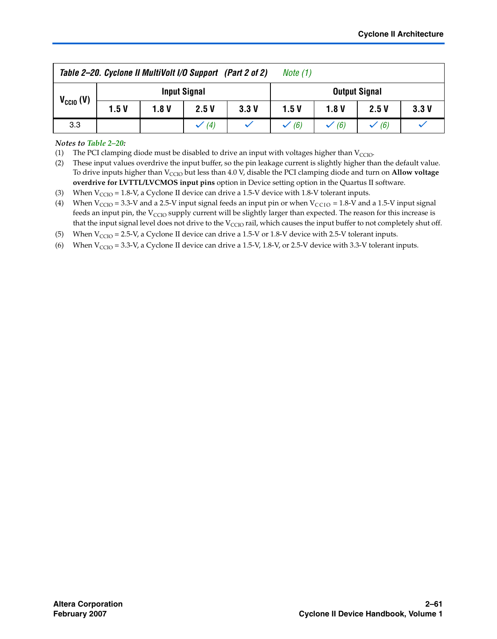| Table 2-20. Cyclone II MultiVolt I/O Support (Part 2 of 2)<br>Note (1) |                     |      |                  |      |                      |                  |      |      |
|------------------------------------------------------------------------|---------------------|------|------------------|------|----------------------|------------------|------|------|
| $V_{CCIO} (V)$                                                         | <b>Input Signal</b> |      |                  |      | <b>Output Signal</b> |                  |      |      |
|                                                                        | 1.5V                | 1.8V | 2.5V             | 3.3V | 1.5V                 | 1.8 V            | 2.5V | 3.3V |
| 3.3                                                                    |                     |      | $\checkmark$ (4) |      | $\checkmark$ (6)     | $\checkmark$ (6) | (6)  |      |

#### *Notes to [Table 2–20](#page-59-0):*

<span id="page-60-0"></span>(1) The PCI clamping diode must be disabled to drive an input with voltages higher than  $V_{\text{CCIO}}$ .

<span id="page-60-1"></span>(2) These input values overdrive the input buffer, so the pin leakage current is slightly higher than the default value. To drive inputs higher than V<sub>CCIO</sub> but less than 4.0 V, disable the PCI clamping diode and turn on **Allow voltage overdrive for LVTTL/LVCMOS input pins** option in Device setting option in the Quartus II software.

<span id="page-60-3"></span>(3) When  $V_{CCIO} = 1.8-V$ , a Cyclone II device can drive a 1.5-V device with 1.8-V tolerant inputs.

- <span id="page-60-2"></span>(4) When  $V_{\text{CCIO}} = 3.3$ -V and a 2.5-V input signal feeds an input pin or when  $V_{\text{CCIO}} = 1.8$ -V and a 1.5-V input signal feeds an input pin, the V<sub>CCIO</sub> supply current will be slightly larger than expected. The reason for this increase is that the input signal level does not drive to the  $V_{CCIO}$  rail, which causes the input buffer to not completely shut off.
- <span id="page-60-4"></span>(5) When  $V_{CCIO} = 2.5-V$ , a Cyclone II device can drive a 1.5-V or 1.8-V device with 2.5-V tolerant inputs.
- <span id="page-60-5"></span>(6) When  $V_{CCIO} = 3.3-V$ , a Cyclone II device can drive a 1.5-V, 1.8-V, or 2.5-V device with 3.3-V tolerant inputs.